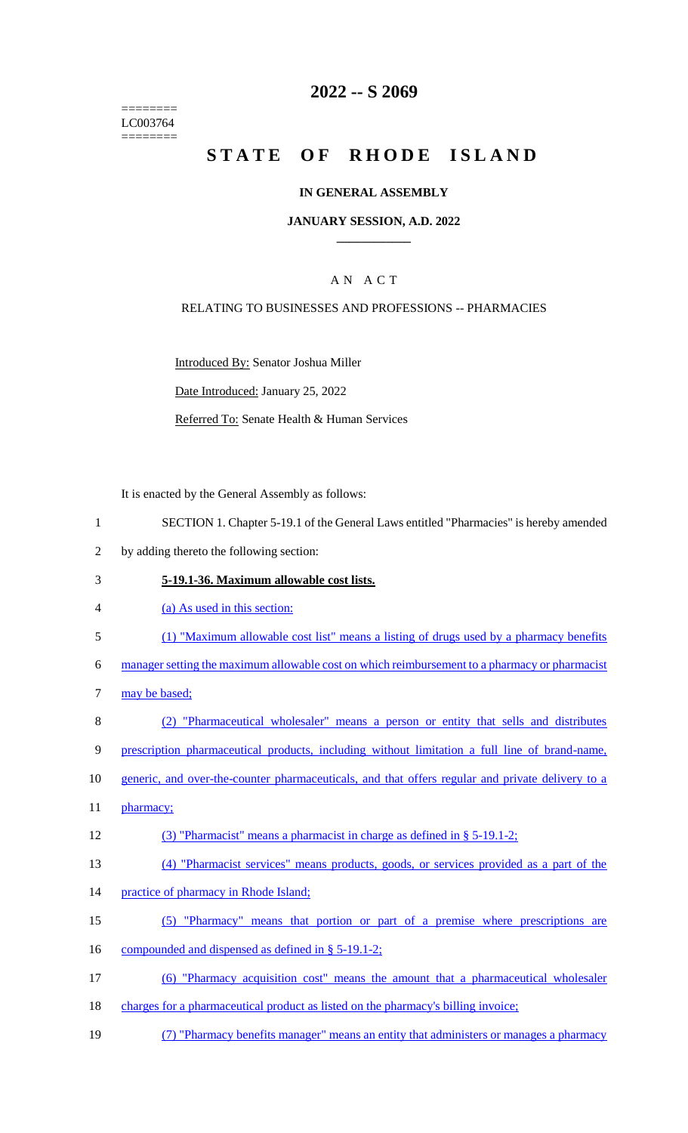======== LC003764 ========

# **2022 -- S 2069**

# **STATE OF RHODE ISLAND**

### **IN GENERAL ASSEMBLY**

### **JANUARY SESSION, A.D. 2022 \_\_\_\_\_\_\_\_\_\_\_\_**

### A N A C T

### RELATING TO BUSINESSES AND PROFESSIONS -- PHARMACIES

Introduced By: Senator Joshua Miller

Date Introduced: January 25, 2022

Referred To: Senate Health & Human Services

It is enacted by the General Assembly as follows:

- 1 SECTION 1. Chapter 5-19.1 of the General Laws entitled "Pharmacies" is hereby amended
- 2 by adding thereto the following section:

### 3 **5-19.1-36. Maximum allowable cost lists.**

- 4 (a) As used in this section:
- 5 (1) "Maximum allowable cost list" means a listing of drugs used by a pharmacy benefits

6 manager setting the maximum allowable cost on which reimbursement to a pharmacy or pharmacist

- 7 may be based;
- 8 (2) "Pharmaceutical wholesaler" means a person or entity that sells and distributes

9 prescription pharmaceutical products, including without limitation a full line of brand-name,

- 10 generic, and over-the-counter pharmaceuticals, and that offers regular and private delivery to a
- 11 pharmacy;
- 12 (3) "Pharmacist" means a pharmacist in charge as defined in § 5-19.1-2;
- 13 (4) "Pharmacist services" means products, goods, or services provided as a part of the
- 14 practice of pharmacy in Rhode Island;
- 15 (5) "Pharmacy" means that portion or part of a premise where prescriptions are
- 16 compounded and dispensed as defined in § 5-19.1-2;
- 17 (6) "Pharmacy acquisition cost" means the amount that a pharmaceutical wholesaler
- 18 charges for a pharmaceutical product as listed on the pharmacy's billing invoice;
- 19 (7) "Pharmacy benefits manager" means an entity that administers or manages a pharmacy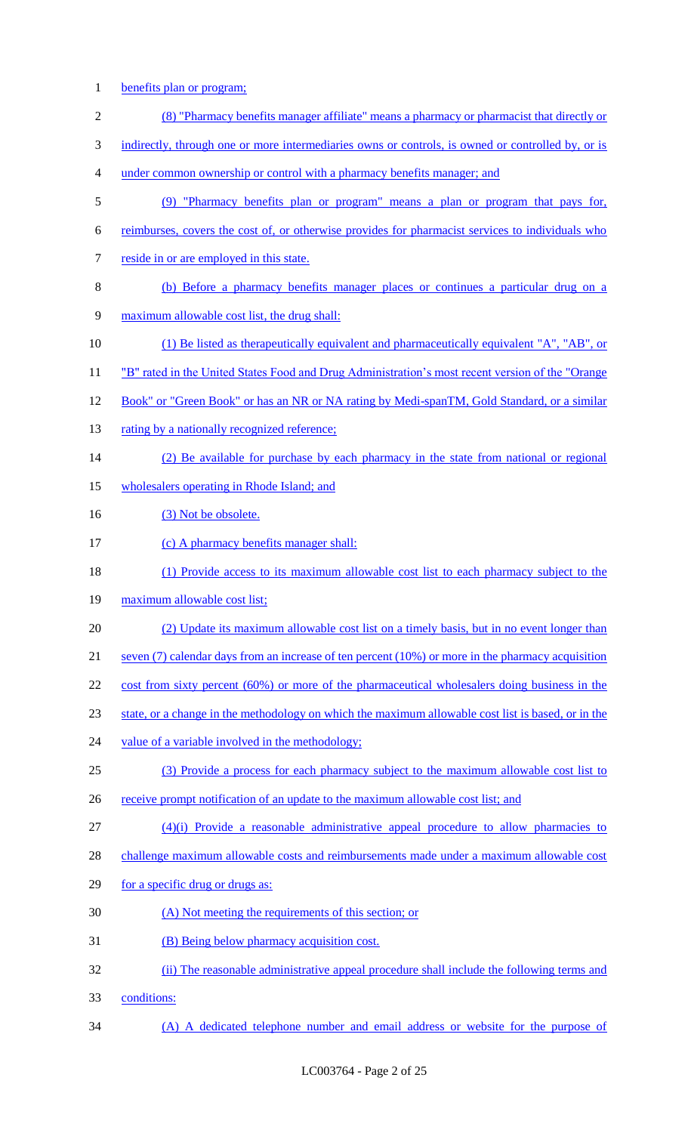1 benefits plan or program;

| $\overline{2}$   | (8) "Pharmacy benefits manager affiliate" means a pharmacy or pharmacist that directly or              |
|------------------|--------------------------------------------------------------------------------------------------------|
| 3                | indirectly, through one or more intermediaries owns or controls, is owned or controlled by, or is      |
| 4                | under common ownership or control with a pharmacy benefits manager; and                                |
| 5                | (9) "Pharmacy benefits plan or program" means a plan or program that pays for,                         |
| 6                | reimburses, covers the cost of, or otherwise provides for pharmacist services to individuals who       |
| $\boldsymbol{7}$ | reside in or are employed in this state.                                                               |
| $8\,$            | (b) Before a pharmacy benefits manager places or continues a particular drug on a                      |
| 9                | maximum allowable cost list, the drug shall:                                                           |
| 10               | (1) Be listed as the rapeutically equivalent and pharmaceutically equivalent "A", "AB", or             |
| 11               | "B" rated in the United States Food and Drug Administration's most recent version of the "Orange"      |
| 12               | Book" or "Green Book" or has an NR or NA rating by Medi-spanTM, Gold Standard, or a similar            |
| 13               | rating by a nationally recognized reference;                                                           |
| 14               | (2) Be available for purchase by each pharmacy in the state from national or regional                  |
| 15               | wholesalers operating in Rhode Island; and                                                             |
| 16               | (3) Not be obsolete.                                                                                   |
| 17               | (c) A pharmacy benefits manager shall:                                                                 |
| 18               | (1) Provide access to its maximum allowable cost list to each pharmacy subject to the                  |
| 19               | maximum allowable cost list;                                                                           |
| 20               | (2) Update its maximum allowable cost list on a timely basis, but in no event longer than              |
| 21               | seven $(7)$ calendar days from an increase of ten percent $(10\%)$ or more in the pharmacy acquisition |
| 22               | cost from sixty percent (60%) or more of the pharmaceutical wholesalers doing business in the          |
| 23               | state, or a change in the methodology on which the maximum allowable cost list is based, or in the     |
| 24               | value of a variable involved in the methodology;                                                       |
| 25               | (3) Provide a process for each pharmacy subject to the maximum allowable cost list to                  |
| 26               | receive prompt notification of an update to the maximum allowable cost list; and                       |
| 27               | $(4)(i)$ Provide a reasonable administrative appeal procedure to allow pharmacies to                   |
| 28               | challenge maximum allowable costs and reimbursements made under a maximum allowable cost               |
| 29               | for a specific drug or drugs as:                                                                       |
| 30               | (A) Not meeting the requirements of this section; or                                                   |
| 31               | (B) Being below pharmacy acquisition cost.                                                             |
| 32               | (ii) The reasonable administrative appeal procedure shall include the following terms and              |
| 33               | conditions:                                                                                            |
| 34               | (A) A dedicated telephone number and email address or website for the purpose of                       |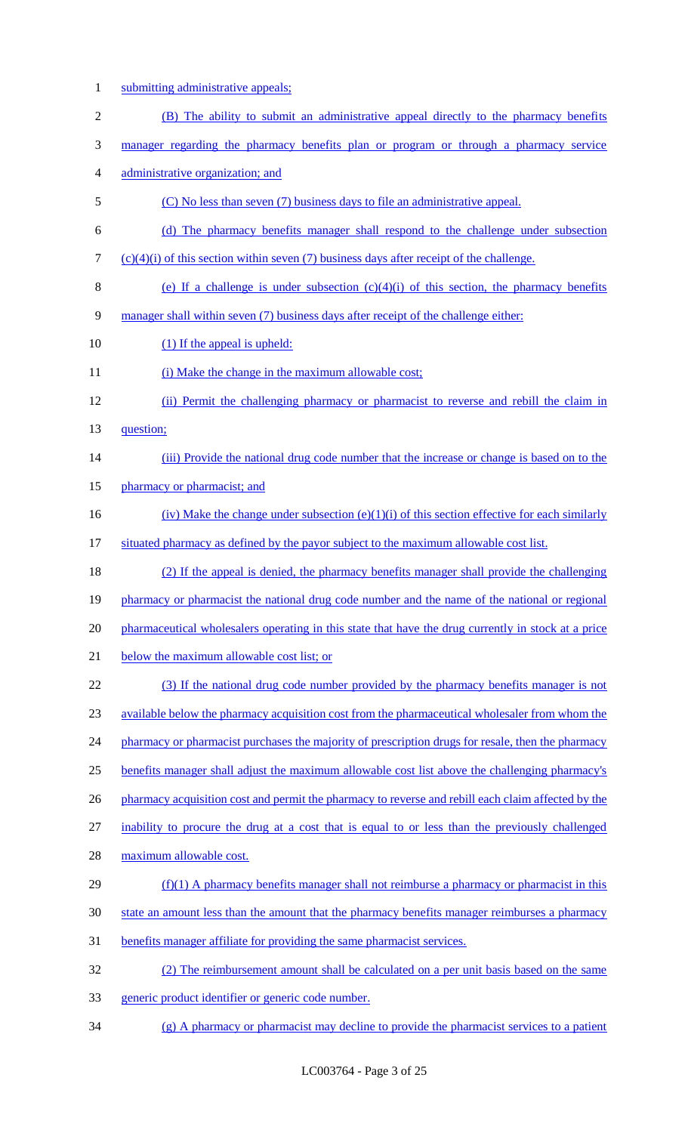- 1 submitting administrative appeals;
- 2 (B) The ability to submit an administrative appeal directly to the pharmacy benefits 3 manager regarding the pharmacy benefits plan or program or through a pharmacy service 4 administrative organization; and 5 (C) No less than seven (7) business days to file an administrative appeal. 6 (d) The pharmacy benefits manager shall respond to the challenge under subsection 7 (c)(4)(i) of this section within seven (7) business days after receipt of the challenge. 8 (e) If a challenge is under subsection  $(c)(4)(i)$  of this section, the pharmacy benefits

9 manager shall within seven (7) business days after receipt of the challenge either:

- 10 (1) If the appeal is upheld:
- 11 (i) Make the change in the maximum allowable cost;
- 12 (ii) Permit the challenging pharmacy or pharmacist to reverse and rebill the claim in
- 13 question;
- 14 (iii) Provide the national drug code number that the increase or change is based on to the
- 15 pharmacy or pharmacist; and
- 16 (iv) Make the change under subsection (e)(1)(i) of this section effective for each similarly
- 17 situated pharmacy as defined by the payor subject to the maximum allowable cost list.

 (2) If the appeal is denied, the pharmacy benefits manager shall provide the challenging 19 pharmacy or pharmacist the national drug code number and the name of the national or regional pharmaceutical wholesalers operating in this state that have the drug currently in stock at a price 21 below the maximum allowable cost list; or (3) If the national drug code number provided by the pharmacy benefits manager is not available below the pharmacy acquisition cost from the pharmaceutical wholesaler from whom the

24 pharmacy or pharmacist purchases the majority of prescription drugs for resale, then the pharmacy

- 25 benefits manager shall adjust the maximum allowable cost list above the challenging pharmacy's
- 26 pharmacy acquisition cost and permit the pharmacy to reverse and rebill each claim affected by the
- 27 inability to procure the drug at a cost that is equal to or less than the previously challenged
- 28 maximum allowable cost.
- 29 (f)(1) A pharmacy benefits manager shall not reimburse a pharmacy or pharmacist in this
- 30 state an amount less than the amount that the pharmacy benefits manager reimburses a pharmacy
- 31 benefits manager affiliate for providing the same pharmacist services.
- 32 (2) The reimbursement amount shall be calculated on a per unit basis based on the same
- 33 generic product identifier or generic code number.
- 34 (g) A pharmacy or pharmacist may decline to provide the pharmacist services to a patient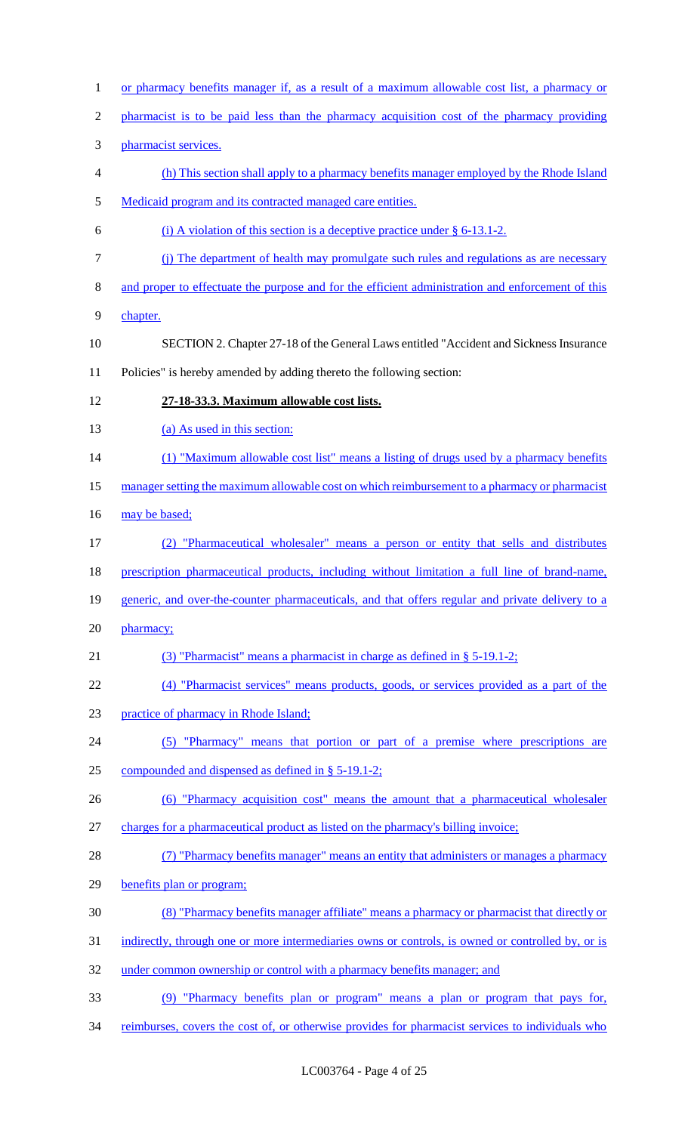or pharmacy benefits manager if, as a result of a maximum allowable cost list, a pharmacy or pharmacist is to be paid less than the pharmacy acquisition cost of the pharmacy providing pharmacist services. (h) This section shall apply to a pharmacy benefits manager employed by the Rhode Island Medicaid program and its contracted managed care entities. 6 (i) A violation of this section is a deceptive practice under  $\S 6-13.1-2$ . (j) The department of health may promulgate such rules and regulations as are necessary and proper to effectuate the purpose and for the efficient administration and enforcement of this chapter. SECTION 2. Chapter 27-18 of the General Laws entitled "Accident and Sickness Insurance Policies" is hereby amended by adding thereto the following section: **27-18-33.3. Maximum allowable cost lists.**  13 (a) As used in this section: 14 (1) "Maximum allowable cost list" means a listing of drugs used by a pharmacy benefits 15 manager setting the maximum allowable cost on which reimbursement to a pharmacy or pharmacist 16 may be based; (2) "Pharmaceutical wholesaler" means a person or entity that sells and distributes 18 prescription pharmaceutical products, including without limitation a full line of brand-name, 19 generic, and over-the-counter pharmaceuticals, and that offers regular and private delivery to a 20 pharmacy; (3) "Pharmacist" means a pharmacist in charge as defined in § 5-19.1-2; (4) "Pharmacist services" means products, goods, or services provided as a part of the practice of pharmacy in Rhode Island; (5) "Pharmacy" means that portion or part of a premise where prescriptions are compounded and dispensed as defined in § 5-19.1-2; (6) "Pharmacy acquisition cost" means the amount that a pharmaceutical wholesaler charges for a pharmaceutical product as listed on the pharmacy's billing invoice; 28 (7) "Pharmacy benefits manager" means an entity that administers or manages a pharmacy benefits plan or program; (8) "Pharmacy benefits manager affiliate" means a pharmacy or pharmacist that directly or 31 indirectly, through one or more intermediaries owns or controls, is owned or controlled by, or is 32 under common ownership or control with a pharmacy benefits manager; and (9) "Pharmacy benefits plan or program" means a plan or program that pays for, 34 reimburses, covers the cost of, or otherwise provides for pharmacist services to individuals who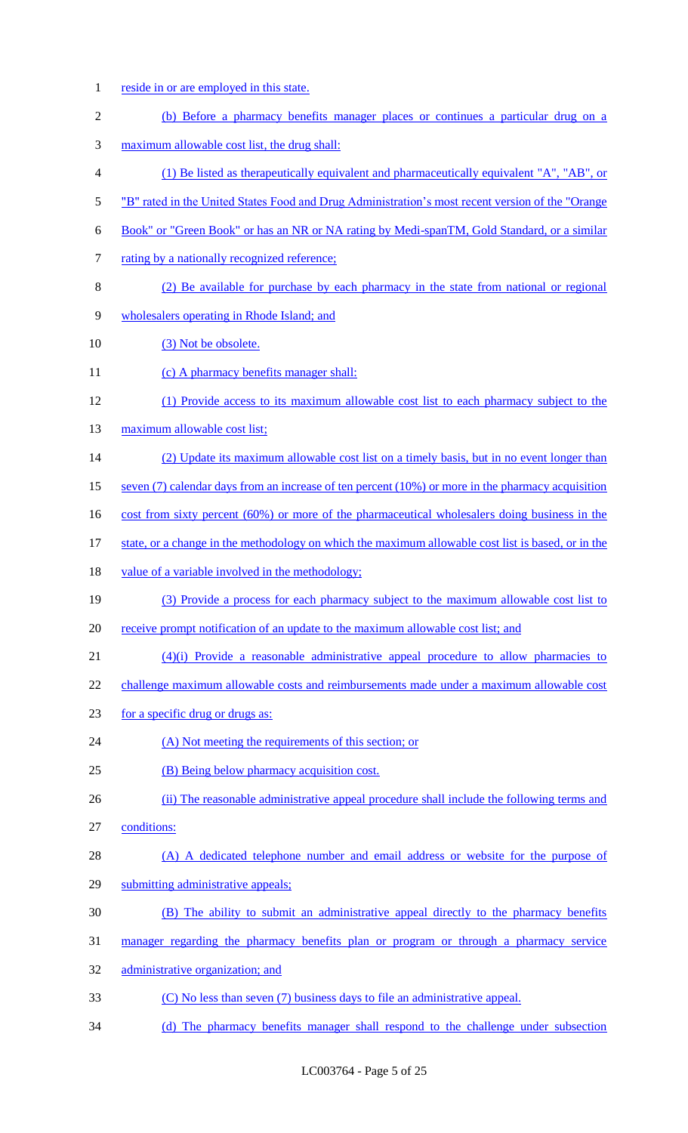- reside in or are employed in this state.
- (b) Before a pharmacy benefits manager places or continues a particular drug on a
- maximum allowable cost list, the drug shall:
- (1) Be listed as therapeutically equivalent and pharmaceutically equivalent "A", "AB", or
- 5 "B" rated in the United States Food and Drug Administration's most recent version of the "Orange"
- Book" or "Green Book" or has an NR or NA rating by Medi-spanTM, Gold Standard, or a similar
- 7 rating by a nationally recognized reference;
- (2) Be available for purchase by each pharmacy in the state from national or regional
- wholesalers operating in Rhode Island; and
- 10 (3) Not be obsolete.
- 11 (c) A pharmacy benefits manager shall:
- (1) Provide access to its maximum allowable cost list to each pharmacy subject to the
- 13 maximum allowable cost list;
- 14 (2) Update its maximum allowable cost list on a timely basis, but in no event longer than
- seven (7) calendar days from an increase of ten percent (10%) or more in the pharmacy acquisition
- 16 cost from sixty percent (60%) or more of the pharmaceutical wholesalers doing business in the
- 17 state, or a change in the methodology on which the maximum allowable cost list is based, or in the
- value of a variable involved in the methodology;
- (3) Provide a process for each pharmacy subject to the maximum allowable cost list to
- 20 receive prompt notification of an update to the maximum allowable cost list; and
- (4)(i) Provide a reasonable administrative appeal procedure to allow pharmacies to
- 22 challenge maximum allowable costs and reimbursements made under a maximum allowable cost
- for a specific drug or drugs as:
- 24 (A) Not meeting the requirements of this section; or
- (B) Being below pharmacy acquisition cost.
- 26 (ii) The reasonable administrative appeal procedure shall include the following terms and
- conditions:
- (A) A dedicated telephone number and email address or website for the purpose of
- submitting administrative appeals;
- (B) The ability to submit an administrative appeal directly to the pharmacy benefits
- manager regarding the pharmacy benefits plan or program or through a pharmacy service
- administrative organization; and
- (C) No less than seven (7) business days to file an administrative appeal.
- (d) The pharmacy benefits manager shall respond to the challenge under subsection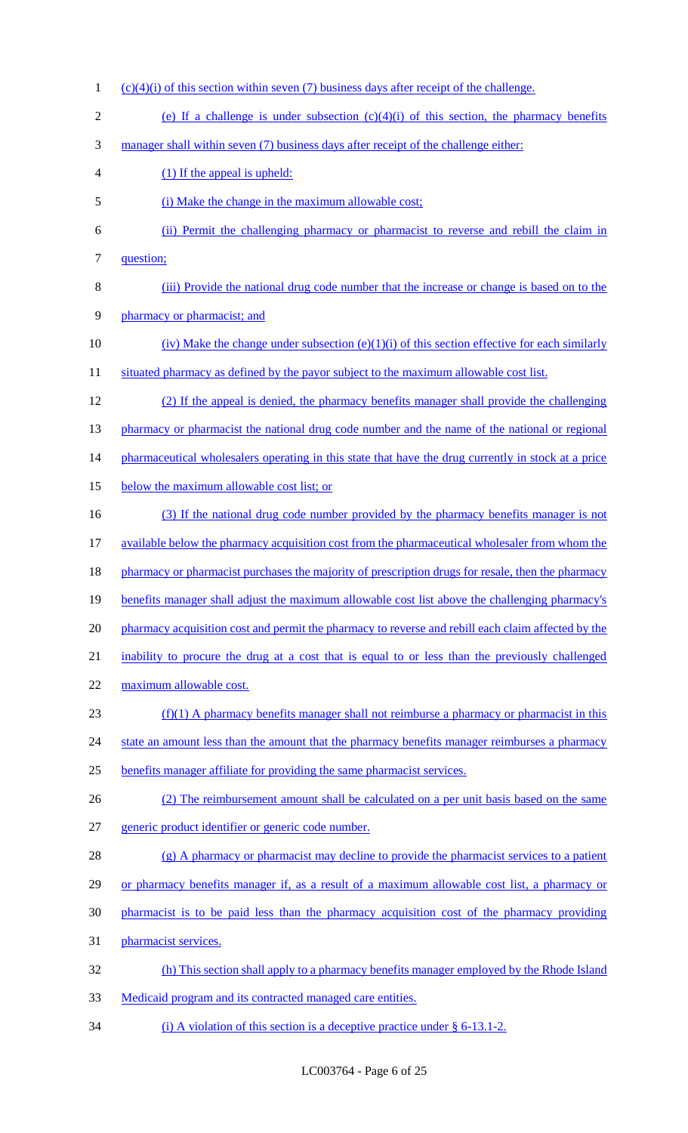1 (c)(4)(i) of this section within seven (7) business days after receipt of the challenge. 2 (e) If a challenge is under subsection  $(c)(4)(i)$  of this section, the pharmacy benefits 3 manager shall within seven (7) business days after receipt of the challenge either: 4 (1) If the appeal is upheld: 5 (i) Make the change in the maximum allowable cost; 6 (ii) Permit the challenging pharmacy or pharmacist to reverse and rebill the claim in 7 question; 8 (iii) Provide the national drug code number that the increase or change is based on to the 9 pharmacy or pharmacist; and 10 (iv) Make the change under subsection (e)(1)(i) of this section effective for each similarly 11 situated pharmacy as defined by the payor subject to the maximum allowable cost list. 12 (2) If the appeal is denied, the pharmacy benefits manager shall provide the challenging 13 pharmacy or pharmacist the national drug code number and the name of the national or regional 14 pharmaceutical wholesalers operating in this state that have the drug currently in stock at a price 15 below the maximum allowable cost list; or 16 (3) If the national drug code number provided by the pharmacy benefits manager is not 17 available below the pharmacy acquisition cost from the pharmaceutical wholesaler from whom the 18 pharmacy or pharmacist purchases the majority of prescription drugs for resale, then the pharmacy 19 benefits manager shall adjust the maximum allowable cost list above the challenging pharmacy's 20 pharmacy acquisition cost and permit the pharmacy to reverse and rebill each claim affected by the 21 inability to procure the drug at a cost that is equal to or less than the previously challenged 22 maximum allowable cost.  $23$  (f)(1) A pharmacy benefits manager shall not reimburse a pharmacy or pharmacist in this 24 state an amount less than the amount that the pharmacy benefits manager reimburses a pharmacy 25 benefits manager affiliate for providing the same pharmacist services. 26 (2) The reimbursement amount shall be calculated on a per unit basis based on the same 27 generic product identifier or generic code number. 28 (g) A pharmacy or pharmacist may decline to provide the pharmacist services to a patient 29 or pharmacy benefits manager if, as a result of a maximum allowable cost list, a pharmacy or 30 pharmacist is to be paid less than the pharmacy acquisition cost of the pharmacy providing 31 pharmacist services. 32 (h) This section shall apply to a pharmacy benefits manager employed by the Rhode Island 33 Medicaid program and its contracted managed care entities. 34 (i) A violation of this section is a deceptive practice under § 6-13.1-2.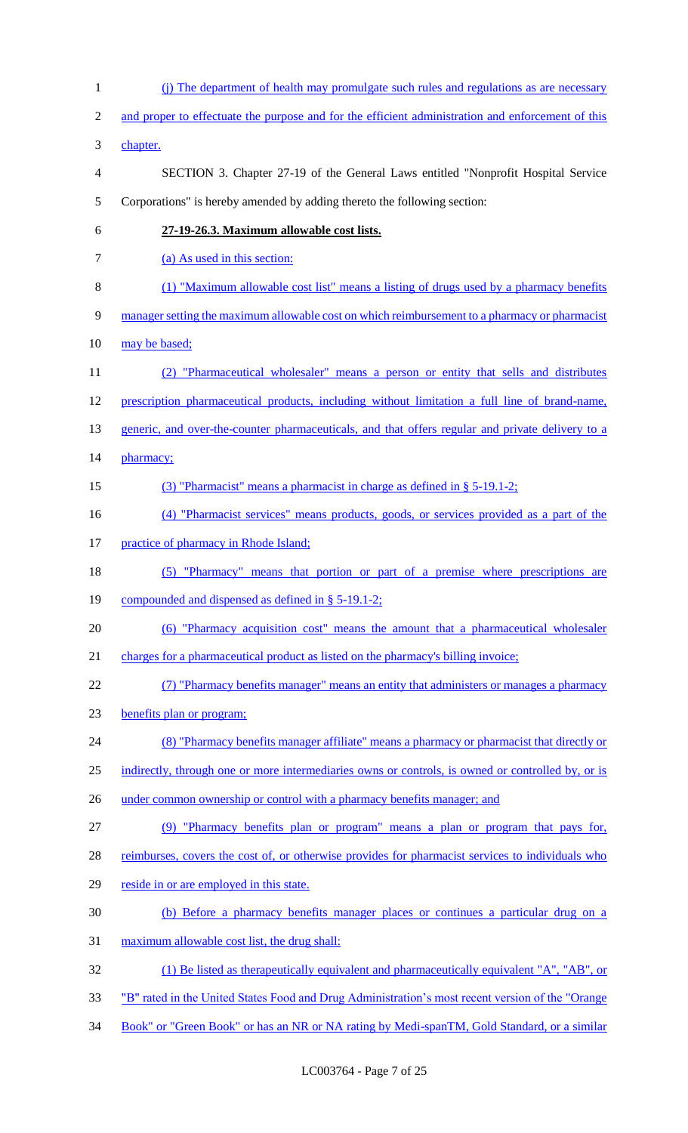(j) The department of health may promulgate such rules and regulations as are necessary 2 and proper to effectuate the purpose and for the efficient administration and enforcement of this chapter. SECTION 3. Chapter 27-19 of the General Laws entitled "Nonprofit Hospital Service Corporations" is hereby amended by adding thereto the following section: **27-19-26.3. Maximum allowable cost lists.**  7 (a) As used in this section: (1) "Maximum allowable cost list" means a listing of drugs used by a pharmacy benefits manager setting the maximum allowable cost on which reimbursement to a pharmacy or pharmacist 10 may be based; (2) "Pharmaceutical wholesaler" means a person or entity that sells and distributes prescription pharmaceutical products, including without limitation a full line of brand-name, 13 generic, and over-the-counter pharmaceuticals, and that offers regular and private delivery to a 14 pharmacy; (3) "Pharmacist" means a pharmacist in charge as defined in § 5-19.1-2; (4) "Pharmacist services" means products, goods, or services provided as a part of the 17 practice of pharmacy in Rhode Island; (5) "Pharmacy" means that portion or part of a premise where prescriptions are compounded and dispensed as defined in § 5-19.1-2; (6) "Pharmacy acquisition cost" means the amount that a pharmaceutical wholesaler charges for a pharmaceutical product as listed on the pharmacy's billing invoice; (7) "Pharmacy benefits manager" means an entity that administers or manages a pharmacy benefits plan or program; (8) "Pharmacy benefits manager affiliate" means a pharmacy or pharmacist that directly or 25 indirectly, through one or more intermediaries owns or controls, is owned or controlled by, or is 26 under common ownership or control with a pharmacy benefits manager; and (9) "Pharmacy benefits plan or program" means a plan or program that pays for, 28 reimburses, covers the cost of, or otherwise provides for pharmacist services to individuals who 29 reside in or are employed in this state. (b) Before a pharmacy benefits manager places or continues a particular drug on a maximum allowable cost list, the drug shall: (1) Be listed as therapeutically equivalent and pharmaceutically equivalent "A", "AB", or "B" rated in the United States Food and Drug Administration's most recent version of the "Orange 34 Book" or "Green Book" or has an NR or NA rating by Medi-spanTM, Gold Standard, or a similar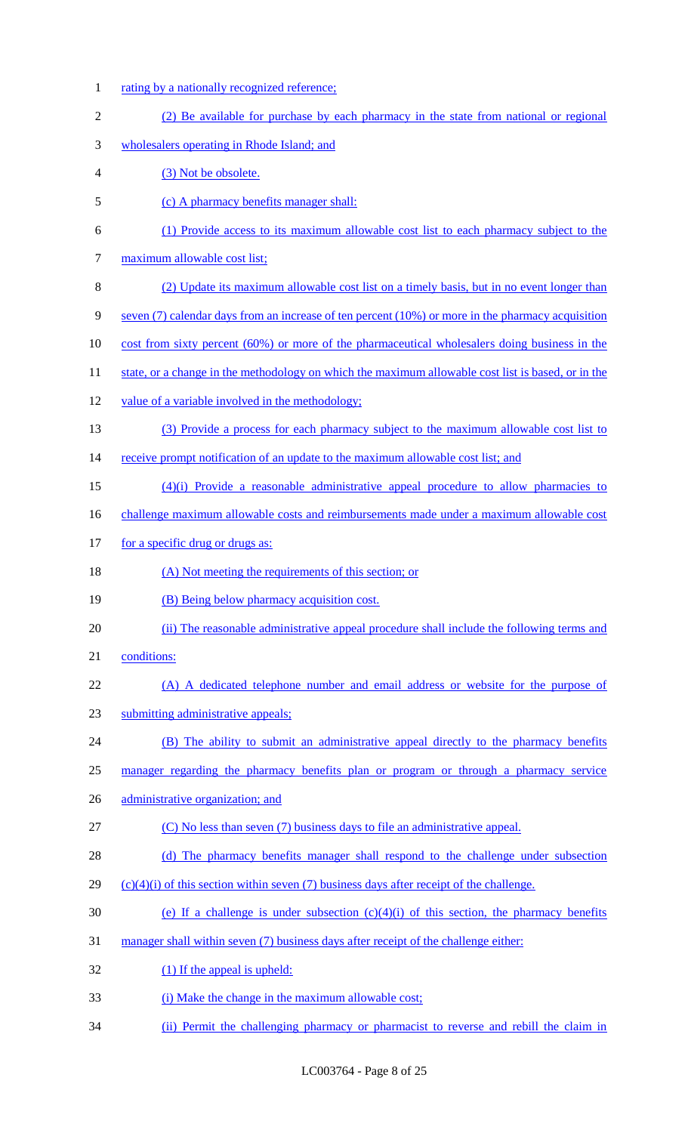- 1 rating by a nationally recognized reference;
- 2 (2) Be available for purchase by each pharmacy in the state from national or regional 3 wholesalers operating in Rhode Island; and 4 (3) Not be obsolete. 5 (c) A pharmacy benefits manager shall: 6 (1) Provide access to its maximum allowable cost list to each pharmacy subject to the 7 maximum allowable cost list; 8 (2) Update its maximum allowable cost list on a timely basis, but in no event longer than 9 seven (7) calendar days from an increase of ten percent (10%) or more in the pharmacy acquisition 10 cost from sixty percent (60%) or more of the pharmaceutical wholesalers doing business in the 11 state, or a change in the methodology on which the maximum allowable cost list is based, or in the 12 value of a variable involved in the methodology; 13 (3) Provide a process for each pharmacy subject to the maximum allowable cost list to 14 receive prompt notification of an update to the maximum allowable cost list; and 15 (4)(i) Provide a reasonable administrative appeal procedure to allow pharmacies to 16 challenge maximum allowable costs and reimbursements made under a maximum allowable cost 17 for a specific drug or drugs as: 18 (A) Not meeting the requirements of this section; or 19 (B) Being below pharmacy acquisition cost. 20 (ii) The reasonable administrative appeal procedure shall include the following terms and 21 conditions: 22 (A) A dedicated telephone number and email address or website for the purpose of 23 submitting administrative appeals; 24 (B) The ability to submit an administrative appeal directly to the pharmacy benefits 25 manager regarding the pharmacy benefits plan or program or through a pharmacy service 26 administrative organization; and 27 (C) No less than seven (7) business days to file an administrative appeal. 28 (d) The pharmacy benefits manager shall respond to the challenge under subsection 29  $(c)(4)(i)$  of this section within seven (7) business days after receipt of the challenge. 30 (e) If a challenge is under subsection  $(c)(4)(i)$  of this section, the pharmacy benefits 31 manager shall within seven (7) business days after receipt of the challenge either: 32 (1) If the appeal is upheld: 33 (i) Make the change in the maximum allowable cost;

34 (ii) Permit the challenging pharmacy or pharmacist to reverse and rebill the claim in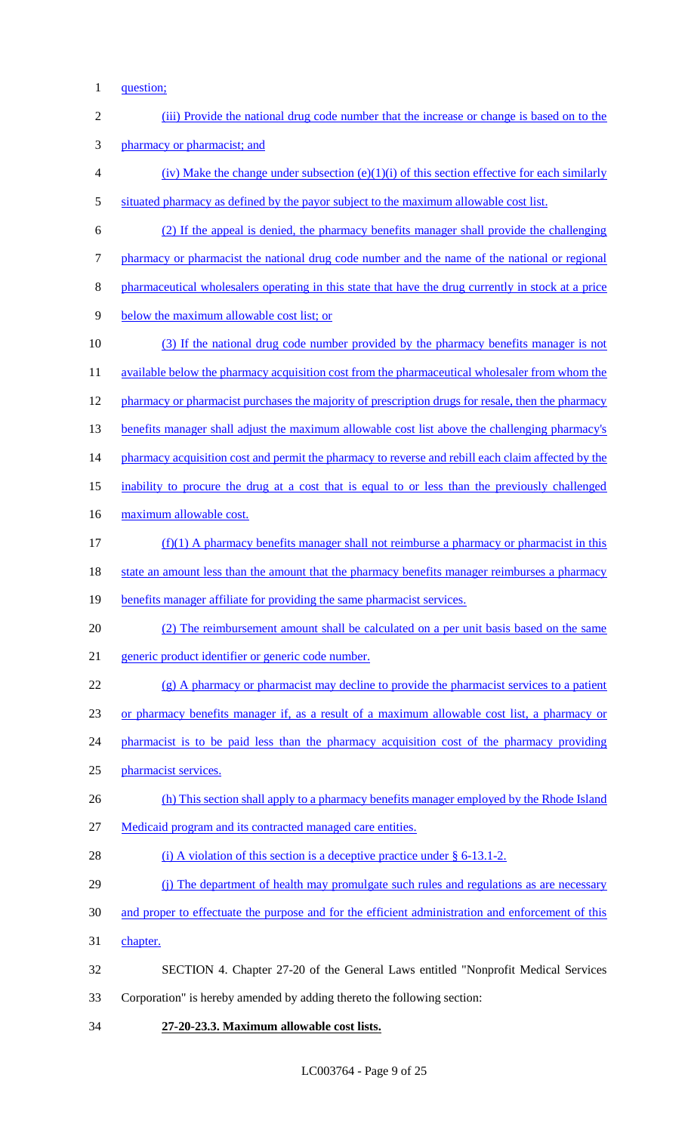1 question;

| $\overline{2}$ | (iii) Provide the national drug code number that the increase or change is based on to the          |
|----------------|-----------------------------------------------------------------------------------------------------|
| 3              | pharmacy or pharmacist; and                                                                         |
| $\overline{4}$ | (iv) Make the change under subsection $(e)(1)(i)$ of this section effective for each similarly      |
| $\mathfrak{S}$ | situated pharmacy as defined by the payor subject to the maximum allowable cost list.               |
| 6              | (2) If the appeal is denied, the pharmacy benefits manager shall provide the challenging            |
| $\tau$         | pharmacy or pharmacist the national drug code number and the name of the national or regional       |
| $\, 8$         | pharmaceutical wholesalers operating in this state that have the drug currently in stock at a price |
| 9              | below the maximum allowable cost list; or                                                           |
| 10             | (3) If the national drug code number provided by the pharmacy benefits manager is not               |
| 11             | available below the pharmacy acquisition cost from the pharmaceutical wholesaler from whom the      |
| 12             | pharmacy or pharmacist purchases the majority of prescription drugs for resale, then the pharmacy   |
| 13             | benefits manager shall adjust the maximum allowable cost list above the challenging pharmacy's      |
| 14             | pharmacy acquisition cost and permit the pharmacy to reverse and rebill each claim affected by the  |
| 15             | inability to procure the drug at a cost that is equal to or less than the previously challenged     |
| 16             | maximum allowable cost.                                                                             |
| 17             | $(f)(1)$ A pharmacy benefits manager shall not reimburse a pharmacy or pharmacist in this           |
| 18             | state an amount less than the amount that the pharmacy benefits manager reimburses a pharmacy       |
| 19             | benefits manager affiliate for providing the same pharmacist services.                              |
| 20             | (2) The reimbursement amount shall be calculated on a per unit basis based on the same              |
| 21             | generic product identifier or generic code number.                                                  |
| 22             | $(g)$ A pharmacy or pharmacist may decline to provide the pharmacist services to a patient          |
| 23             | or pharmacy benefits manager if, as a result of a maximum allowable cost list, a pharmacy or        |
| 24             | pharmacist is to be paid less than the pharmacy acquisition cost of the pharmacy providing          |
| 25             | pharmacist services.                                                                                |
| 26             | (h) This section shall apply to a pharmacy benefits manager employed by the Rhode Island            |
| 27             | Medicaid program and its contracted managed care entities.                                          |
| 28             | (i) A violation of this section is a deceptive practice under $\S$ 6-13.1-2.                        |
| 29             | (i) The department of health may promulgate such rules and regulations as are necessary             |
| 30             | and proper to effectuate the purpose and for the efficient administration and enforcement of this   |
| 31             | chapter.                                                                                            |
| 32             | SECTION 4. Chapter 27-20 of the General Laws entitled "Nonprofit Medical Services"                  |
| 33             | Corporation" is hereby amended by adding thereto the following section:                             |
| 34             | 27-20-23.3. Maximum allowable cost lists.                                                           |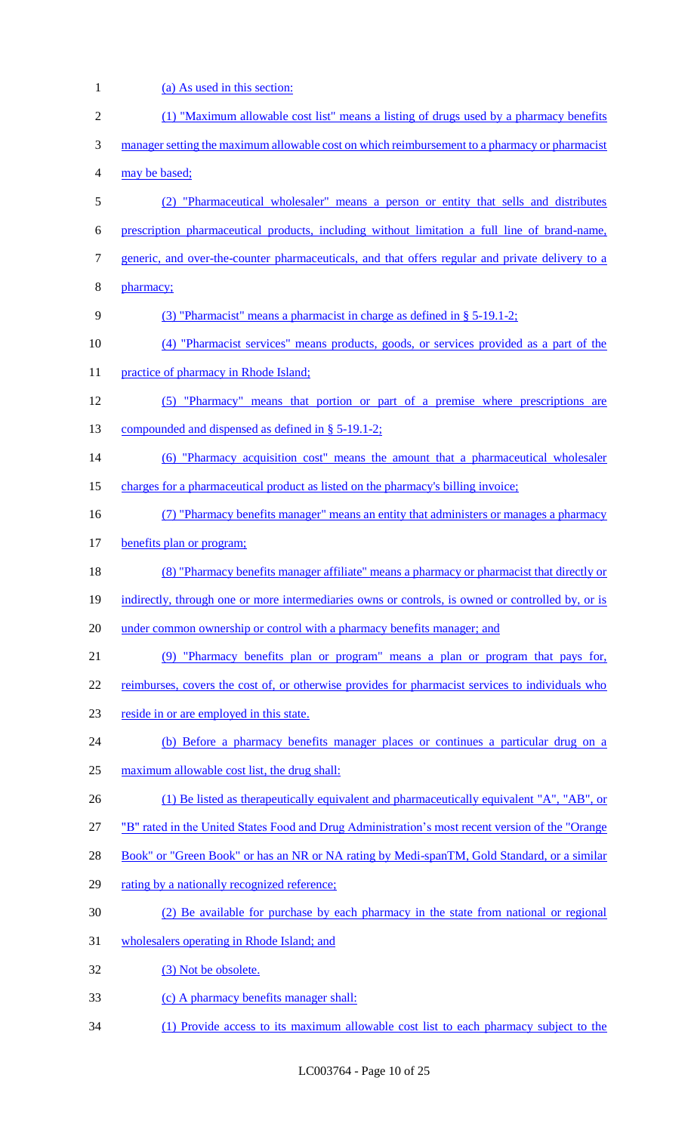1 (a) As used in this section: (1) "Maximum allowable cost list" means a listing of drugs used by a pharmacy benefits 3 manager setting the maximum allowable cost on which reimbursement to a pharmacy or pharmacist may be based; (2) "Pharmaceutical wholesaler" means a person or entity that sells and distributes prescription pharmaceutical products, including without limitation a full line of brand-name, 7 generic, and over-the-counter pharmaceuticals, and that offers regular and private delivery to a pharmacy; 9 (3) "Pharmacist" means a pharmacist in charge as defined in § 5-19.1-2; (4) "Pharmacist services" means products, goods, or services provided as a part of the 11 practice of pharmacy in Rhode Island; (5) "Pharmacy" means that portion or part of a premise where prescriptions are compounded and dispensed as defined in § 5-19.1-2; (6) "Pharmacy acquisition cost" means the amount that a pharmaceutical wholesaler charges for a pharmaceutical product as listed on the pharmacy's billing invoice; (7) "Pharmacy benefits manager" means an entity that administers or manages a pharmacy benefits plan or program; 18 (8) "Pharmacy benefits manager affiliate" means a pharmacy or pharmacist that directly or 19 indirectly, through one or more intermediaries owns or controls, is owned or controlled by, or is 20 under common ownership or control with a pharmacy benefits manager; and (9) "Pharmacy benefits plan or program" means a plan or program that pays for, 22 reimburses, covers the cost of, or otherwise provides for pharmacist services to individuals who reside in or are employed in this state. (b) Before a pharmacy benefits manager places or continues a particular drug on a maximum allowable cost list, the drug shall: 26 (1) Be listed as therapeutically equivalent and pharmaceutically equivalent "A", "AB", or "B" rated in the United States Food and Drug Administration's most recent version of the "Orange 28 Book" or "Green Book" or has an NR or NA rating by Medi-spanTM, Gold Standard, or a similar 29 rating by a nationally recognized reference; (2) Be available for purchase by each pharmacy in the state from national or regional wholesalers operating in Rhode Island; and 32 (3) Not be obsolete. (c) A pharmacy benefits manager shall: (1) Provide access to its maximum allowable cost list to each pharmacy subject to the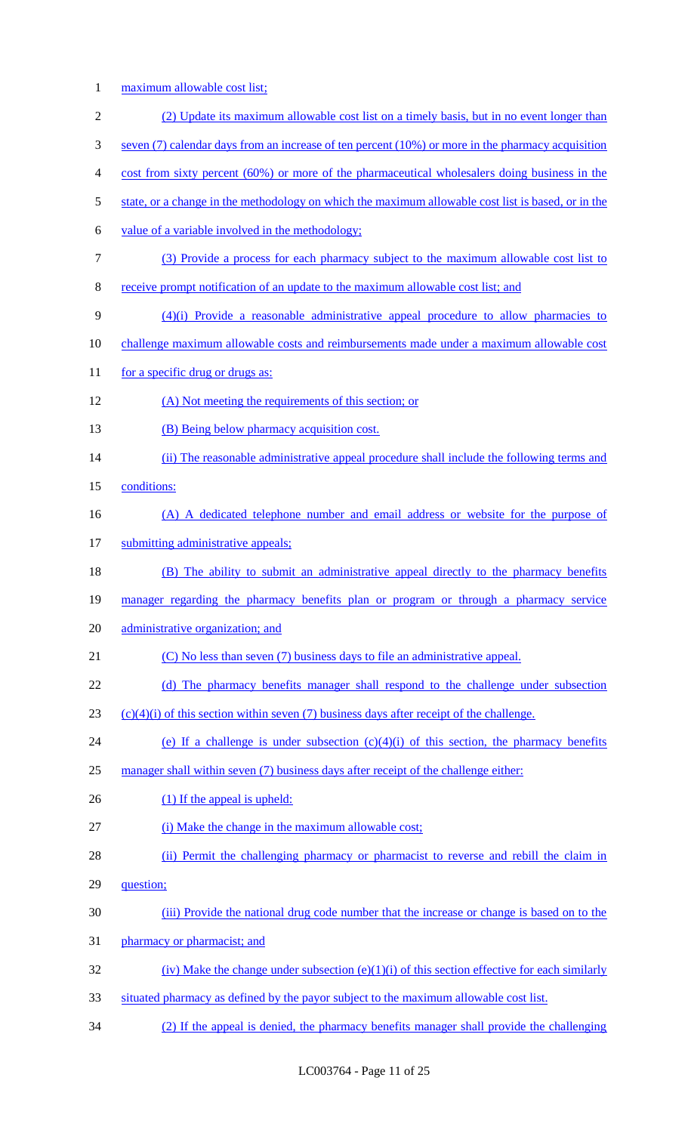1 maximum allowable cost list;

| $\overline{2}$ | (2) Update its maximum allowable cost list on a timely basis, but in no event longer than              |
|----------------|--------------------------------------------------------------------------------------------------------|
| 3              | seven $(7)$ calendar days from an increase of ten percent $(10\%)$ or more in the pharmacy acquisition |
| 4              | cost from sixty percent (60%) or more of the pharmaceutical wholesalers doing business in the          |
| 5              | state, or a change in the methodology on which the maximum allowable cost list is based, or in the     |
| 6              | value of a variable involved in the methodology;                                                       |
| 7              | (3) Provide a process for each pharmacy subject to the maximum allowable cost list to                  |
| 8              | receive prompt notification of an update to the maximum allowable cost list; and                       |
| 9              | $(4)(i)$ Provide a reasonable administrative appeal procedure to allow pharmacies to                   |
| 10             | challenge maximum allowable costs and reimbursements made under a maximum allowable cost               |
| 11             | for a specific drug or drugs as:                                                                       |
| 12             | (A) Not meeting the requirements of this section; or                                                   |
| 13             | (B) Being below pharmacy acquisition cost.                                                             |
| 14             | (ii) The reasonable administrative appeal procedure shall include the following terms and              |
| 15             | conditions:                                                                                            |
| 16             | (A) A dedicated telephone number and email address or website for the purpose of                       |
| 17             | submitting administrative appeals;                                                                     |
| 18             | (B) The ability to submit an administrative appeal directly to the pharmacy benefits                   |
| 19             | manager regarding the pharmacy benefits plan or program or through a pharmacy service                  |
| 20             | administrative organization; and                                                                       |
| 21             | (C) No less than seven (7) business days to file an administrative appeal.                             |
| 22             | (d) The pharmacy benefits manager shall respond to the challenge under subsection                      |
| 23             | $(c)(4)(i)$ of this section within seven (7) business days after receipt of the challenge.             |
| 24             | (e) If a challenge is under subsection $(c)(4)(i)$ of this section, the pharmacy benefits              |
| 25             | manager shall within seven (7) business days after receipt of the challenge either:                    |
| 26             | $(1)$ If the appeal is upheld:                                                                         |
| 27             | (i) Make the change in the maximum allowable cost;                                                     |
| 28             | (ii) Permit the challenging pharmacy or pharmacist to reverse and rebill the claim in                  |
| 29             | question;                                                                                              |
| 30             | (iii) Provide the national drug code number that the increase or change is based on to the             |
| 31             | pharmacy or pharmacist; and                                                                            |
| 32             | (iv) Make the change under subsection (e)(1)(i) of this section effective for each similarly           |
| 33             | situated pharmacy as defined by the payor subject to the maximum allowable cost list.                  |

34 (2) If the appeal is denied, the pharmacy benefits manager shall provide the challenging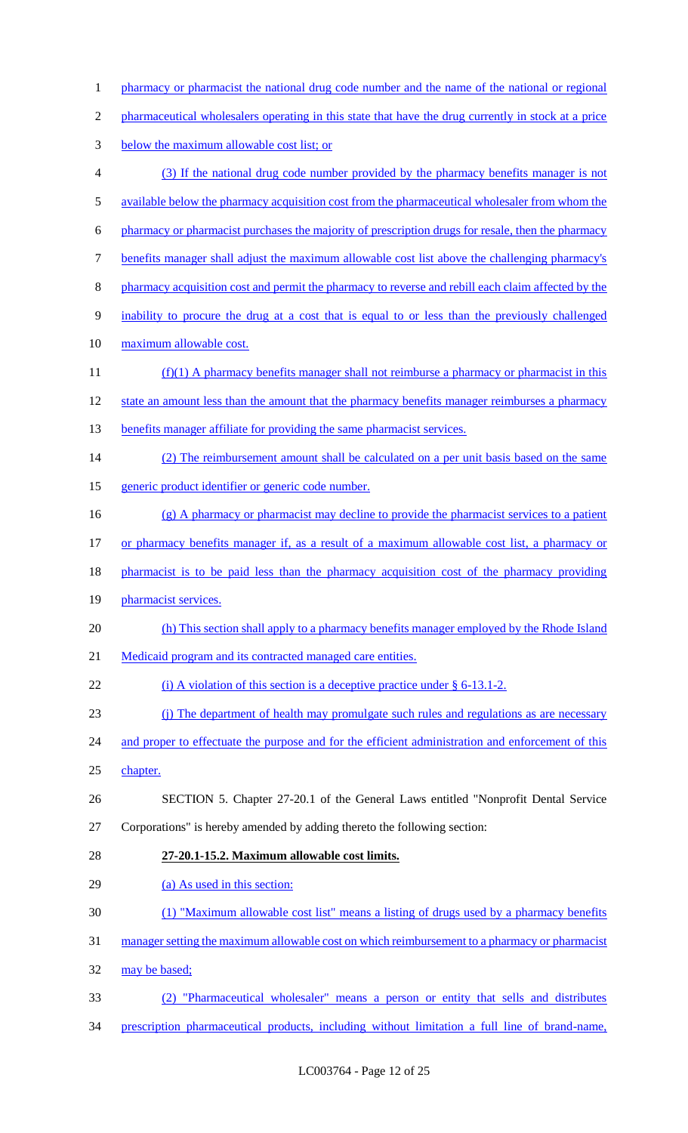1 pharmacy or pharmacist the national drug code number and the name of the national or regional pharmaceutical wholesalers operating in this state that have the drug currently in stock at a price below the maximum allowable cost list; or (3) If the national drug code number provided by the pharmacy benefits manager is not available below the pharmacy acquisition cost from the pharmaceutical wholesaler from whom the pharmacy or pharmacist purchases the majority of prescription drugs for resale, then the pharmacy benefits manager shall adjust the maximum allowable cost list above the challenging pharmacy's 8 pharmacy acquisition cost and permit the pharmacy to reverse and rebill each claim affected by the inability to procure the drug at a cost that is equal to or less than the previously challenged maximum allowable cost. 11 (f)(1) A pharmacy benefits manager shall not reimburse a pharmacy or pharmacist in this state an amount less than the amount that the pharmacy benefits manager reimburses a pharmacy 13 benefits manager affiliate for providing the same pharmacist services. 14 (2) The reimbursement amount shall be calculated on a per unit basis based on the same generic product identifier or generic code number. (g) A pharmacy or pharmacist may decline to provide the pharmacist services to a patient 17 or pharmacy benefits manager if, as a result of a maximum allowable cost list, a pharmacy or 18 pharmacist is to be paid less than the pharmacy acquisition cost of the pharmacy providing 19 pharmacist services. 20 (h) This section shall apply to a pharmacy benefits manager employed by the Rhode Island 21 Medicaid program and its contracted managed care entities. 22 (i) A violation of this section is a deceptive practice under § 6-13.1-2. (j) The department of health may promulgate such rules and regulations as are necessary 24 and proper to effectuate the purpose and for the efficient administration and enforcement of this chapter. SECTION 5. Chapter 27-20.1 of the General Laws entitled "Nonprofit Dental Service Corporations" is hereby amended by adding thereto the following section: **27-20.1-15.2. Maximum allowable cost limits.**  (a) As used in this section: (1) "Maximum allowable cost list" means a listing of drugs used by a pharmacy benefits manager setting the maximum allowable cost on which reimbursement to a pharmacy or pharmacist may be based; (2) "Pharmaceutical wholesaler" means a person or entity that sells and distributes prescription pharmaceutical products, including without limitation a full line of brand-name,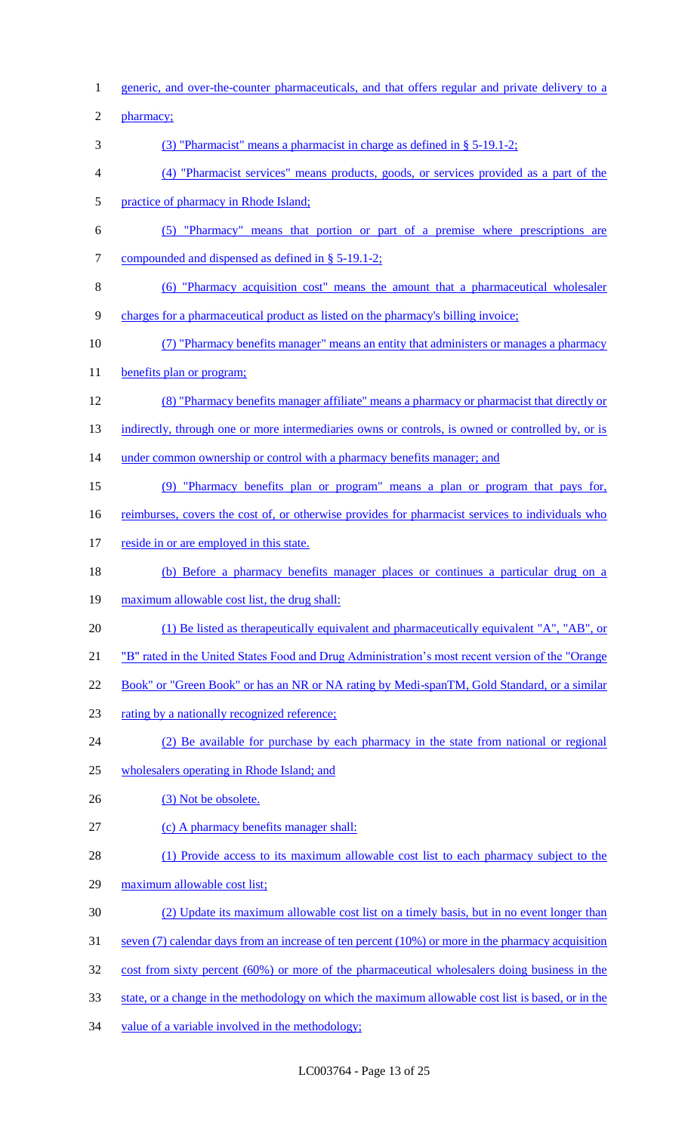1 generic, and over-the-counter pharmaceuticals, and that offers regular and private delivery to a 2 pharmacy; 3 (3) "Pharmacist" means a pharmacist in charge as defined in § 5-19.1-2; 4 (4) "Pharmacist services" means products, goods, or services provided as a part of the 5 practice of pharmacy in Rhode Island; 6 (5) "Pharmacy" means that portion or part of a premise where prescriptions are 7 compounded and dispensed as defined in § 5-19.1-2; 8 (6) "Pharmacy acquisition cost" means the amount that a pharmaceutical wholesaler 9 charges for a pharmaceutical product as listed on the pharmacy's billing invoice; 10 (7) "Pharmacy benefits manager" means an entity that administers or manages a pharmacy 11 benefits plan or program; 12 (8) "Pharmacy benefits manager affiliate" means a pharmacy or pharmacist that directly or 13 indirectly, through one or more intermediaries owns or controls, is owned or controlled by, or is 14 under common ownership or control with a pharmacy benefits manager; and 15 (9) "Pharmacy benefits plan or program" means a plan or program that pays for, 16 reimburses, covers the cost of, or otherwise provides for pharmacist services to individuals who 17 reside in or are employed in this state. 18 (b) Before a pharmacy benefits manager places or continues a particular drug on a 19 maximum allowable cost list, the drug shall: 20 (1) Be listed as therapeutically equivalent and pharmaceutically equivalent "A", "AB", or 21 "B" rated in the United States Food and Drug Administration's most recent version of the "Orange 22 Book" or "Green Book" or has an NR or NA rating by Medi-spanTM, Gold Standard, or a similar 23 rating by a nationally recognized reference; 24 (2) Be available for purchase by each pharmacy in the state from national or regional 25 wholesalers operating in Rhode Island; and 26 (3) Not be obsolete. 27 (c) A pharmacy benefits manager shall: 28 (1) Provide access to its maximum allowable cost list to each pharmacy subject to the 29 maximum allowable cost list; 30 (2) Update its maximum allowable cost list on a timely basis, but in no event longer than 31 seven (7) calendar days from an increase of ten percent (10%) or more in the pharmacy acquisition 32 cost from sixty percent (60%) or more of the pharmaceutical wholesalers doing business in the 33 state, or a change in the methodology on which the maximum allowable cost list is based, or in the 34 value of a variable involved in the methodology;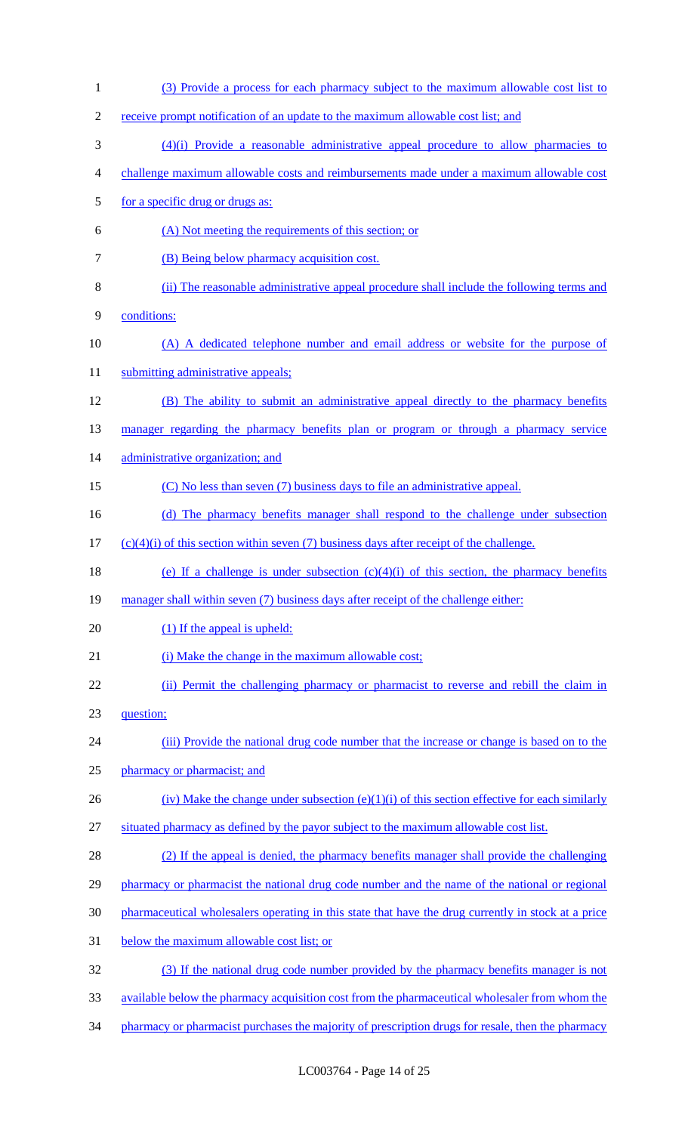| $\mathbf{1}$   | (3) Provide a process for each pharmacy subject to the maximum allowable cost list to               |
|----------------|-----------------------------------------------------------------------------------------------------|
| $\overline{c}$ | receive prompt notification of an update to the maximum allowable cost list; and                    |
| 3              | $(4)(i)$ Provide a reasonable administrative appeal procedure to allow pharmacies to                |
| 4              | challenge maximum allowable costs and reimbursements made under a maximum allowable cost            |
| 5              | for a specific drug or drugs as:                                                                    |
| 6              | (A) Not meeting the requirements of this section; or                                                |
| 7              | (B) Being below pharmacy acquisition cost.                                                          |
| 8              | (ii) The reasonable administrative appeal procedure shall include the following terms and           |
| 9              | conditions:                                                                                         |
| 10             | (A) A dedicated telephone number and email address or website for the purpose of                    |
| 11             | submitting administrative appeals;                                                                  |
| 12             | (B) The ability to submit an administrative appeal directly to the pharmacy benefits                |
| 13             | manager regarding the pharmacy benefits plan or program or through a pharmacy service               |
| 14             | administrative organization; and                                                                    |
| 15             | (C) No less than seven (7) business days to file an administrative appeal.                          |
| 16             | (d) The pharmacy benefits manager shall respond to the challenge under subsection                   |
| 17             | $(c)(4)(i)$ of this section within seven (7) business days after receipt of the challenge.          |
| 18             | (e) If a challenge is under subsection $(c)(4)(i)$ of this section, the pharmacy benefits           |
| 19             | manager shall within seven (7) business days after receipt of the challenge either:                 |
| 20             | (1) If the appeal is upheld:                                                                        |
| 21             | (i) Make the change in the maximum allowable cost;                                                  |
| 22             | (ii) Permit the challenging pharmacy or pharmacist to reverse and rebill the claim in               |
| 23             | question;                                                                                           |
| 24             | (iii) Provide the national drug code number that the increase or change is based on to the          |
| 25             | pharmacy or pharmacist; and                                                                         |
| 26             | (iv) Make the change under subsection $(e)(1)(i)$ of this section effective for each similarly      |
| 27             | situated pharmacy as defined by the payor subject to the maximum allowable cost list.               |
| 28             | (2) If the appeal is denied, the pharmacy benefits manager shall provide the challenging            |
| 29             | pharmacy or pharmacist the national drug code number and the name of the national or regional       |
| 30             | pharmaceutical wholesalers operating in this state that have the drug currently in stock at a price |
| 31             | below the maximum allowable cost list; or                                                           |
| 32             | (3) If the national drug code number provided by the pharmacy benefits manager is not               |
| 33             | available below the pharmacy acquisition cost from the pharmaceutical wholesaler from whom the      |
| 34             | pharmacy or pharmacist purchases the majority of prescription drugs for resale, then the pharmacy   |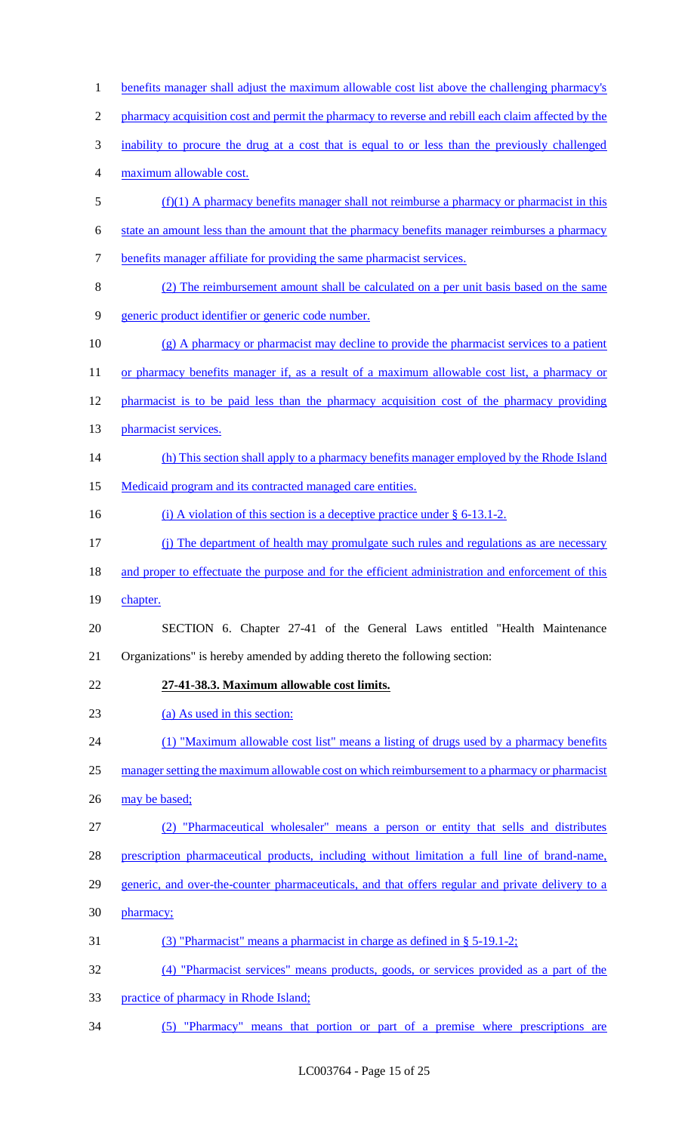1 benefits manager shall adjust the maximum allowable cost list above the challenging pharmacy's 2 pharmacy acquisition cost and permit the pharmacy to reverse and rebill each claim affected by the 3 inability to procure the drug at a cost that is equal to or less than the previously challenged 4 maximum allowable cost. 5 (f)(1) A pharmacy benefits manager shall not reimburse a pharmacy or pharmacist in this 6 state an amount less than the amount that the pharmacy benefits manager reimburses a pharmacy 7 benefits manager affiliate for providing the same pharmacist services. 8 (2) The reimbursement amount shall be calculated on a per unit basis based on the same 9 generic product identifier or generic code number. 10 (g) A pharmacy or pharmacist may decline to provide the pharmacist services to a patient 11 or pharmacy benefits manager if, as a result of a maximum allowable cost list, a pharmacy or 12 pharmacist is to be paid less than the pharmacy acquisition cost of the pharmacy providing 13 pharmacist services. 14 (h) This section shall apply to a pharmacy benefits manager employed by the Rhode Island 15 Medicaid program and its contracted managed care entities. 16 (i) A violation of this section is a deceptive practice under § 6-13.1-2. 17 (j) The department of health may promulgate such rules and regulations as are necessary 18 and proper to effectuate the purpose and for the efficient administration and enforcement of this 19 chapter. 20 SECTION 6. Chapter 27-41 of the General Laws entitled "Health Maintenance 21 Organizations" is hereby amended by adding thereto the following section: 22 **27-41-38.3. Maximum allowable cost limits.**  23 (a) As used in this section: 24 (1) "Maximum allowable cost list" means a listing of drugs used by a pharmacy benefits 25 manager setting the maximum allowable cost on which reimbursement to a pharmacy or pharmacist 26 may be based; 27 (2) "Pharmaceutical wholesaler" means a person or entity that sells and distributes 28 prescription pharmaceutical products, including without limitation a full line of brand-name, 29 generic, and over-the-counter pharmaceuticals, and that offers regular and private delivery to a 30 pharmacy; 31 (3) "Pharmacist" means a pharmacist in charge as defined in § 5-19.1-2; 32 (4) "Pharmacist services" means products, goods, or services provided as a part of the 33 practice of pharmacy in Rhode Island;

34 (5) "Pharmacy" means that portion or part of a premise where prescriptions are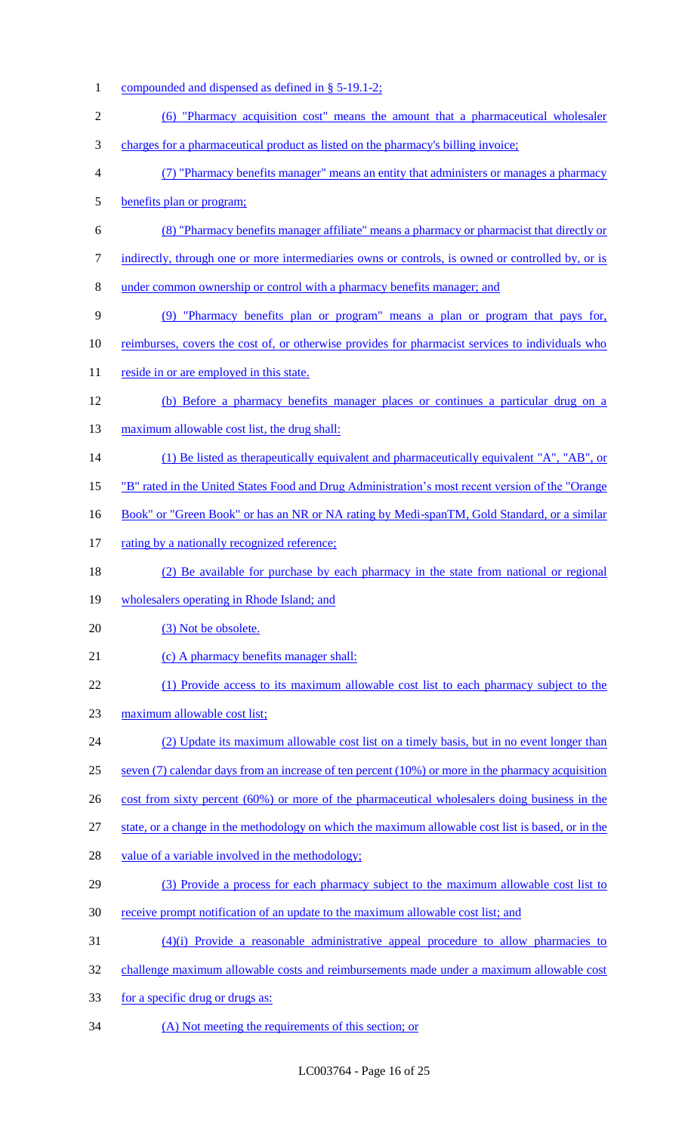1 compounded and dispensed as defined in § 5-19.1-2; (6) "Pharmacy acquisition cost" means the amount that a pharmaceutical wholesaler charges for a pharmaceutical product as listed on the pharmacy's billing invoice; (7) "Pharmacy benefits manager" means an entity that administers or manages a pharmacy benefits plan or program; (8) "Pharmacy benefits manager affiliate" means a pharmacy or pharmacist that directly or 7 indirectly, through one or more intermediaries owns or controls, is owned or controlled by, or is under common ownership or control with a pharmacy benefits manager; and (9) "Pharmacy benefits plan or program" means a plan or program that pays for, reimburses, covers the cost of, or otherwise provides for pharmacist services to individuals who 11 reside in or are employed in this state. (b) Before a pharmacy benefits manager places or continues a particular drug on a 13 maximum allowable cost list, the drug shall: 14 (1) Be listed as therapeutically equivalent and pharmaceutically equivalent "A", "AB", or "B" rated in the United States Food and Drug Administration's most recent version of the "Orange 16 Book" or "Green Book" or has an NR or NA rating by Medi-spanTM, Gold Standard, or a similar 17 rating by a nationally recognized reference; (2) Be available for purchase by each pharmacy in the state from national or regional 19 wholesalers operating in Rhode Island; and 20 (3) Not be obsolete. 21 (c) A pharmacy benefits manager shall: (1) Provide access to its maximum allowable cost list to each pharmacy subject to the maximum allowable cost list; (2) Update its maximum allowable cost list on a timely basis, but in no event longer than seven (7) calendar days from an increase of ten percent (10%) or more in the pharmacy acquisition 26 cost from sixty percent (60%) or more of the pharmaceutical wholesalers doing business in the 27 state, or a change in the methodology on which the maximum allowable cost list is based, or in the 28 value of a variable involved in the methodology; (3) Provide a process for each pharmacy subject to the maximum allowable cost list to receive prompt notification of an update to the maximum allowable cost list; and (4)(i) Provide a reasonable administrative appeal procedure to allow pharmacies to challenge maximum allowable costs and reimbursements made under a maximum allowable cost for a specific drug or drugs as: (A) Not meeting the requirements of this section; or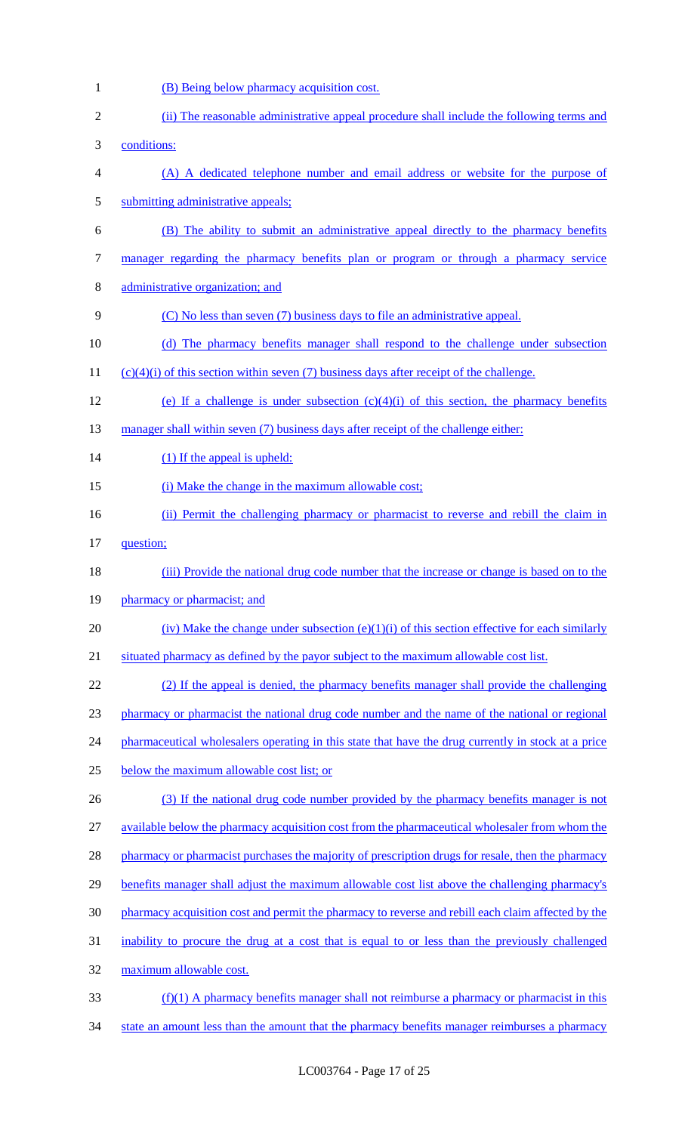- 1 (B) Being below pharmacy acquisition cost.
- 2 (ii) The reasonable administrative appeal procedure shall include the following terms and 3 conditions: 4 (A) A dedicated telephone number and email address or website for the purpose of 5 submitting administrative appeals; 6 (B) The ability to submit an administrative appeal directly to the pharmacy benefits 7 manager regarding the pharmacy benefits plan or program or through a pharmacy service 8 administrative organization; and 9 (C) No less than seven (7) business days to file an administrative appeal. 10 (d) The pharmacy benefits manager shall respond to the challenge under subsection 11 (c)(4)(i) of this section within seven (7) business days after receipt of the challenge. 12 (e) If a challenge is under subsection  $(c)(4)(i)$  of this section, the pharmacy benefits 13 manager shall within seven (7) business days after receipt of the challenge either: 14 (1) If the appeal is upheld: 15 (i) Make the change in the maximum allowable cost; 16 (ii) Permit the challenging pharmacy or pharmacist to reverse and rebill the claim in 17 question; 18 (iii) Provide the national drug code number that the increase or change is based on to the 19 pharmacy or pharmacist; and 20 (iv) Make the change under subsection  $(e)(1)(i)$  of this section effective for each similarly 21 situated pharmacy as defined by the payor subject to the maximum allowable cost list. 22 (2) If the appeal is denied, the pharmacy benefits manager shall provide the challenging 23 pharmacy or pharmacist the national drug code number and the name of the national or regional 24 pharmaceutical wholesalers operating in this state that have the drug currently in stock at a price 25 below the maximum allowable cost list; or 26 (3) If the national drug code number provided by the pharmacy benefits manager is not 27 available below the pharmacy acquisition cost from the pharmaceutical wholesaler from whom the 28 pharmacy or pharmacist purchases the majority of prescription drugs for resale, then the pharmacy 29 benefits manager shall adjust the maximum allowable cost list above the challenging pharmacy's 30 pharmacy acquisition cost and permit the pharmacy to reverse and rebill each claim affected by the 31 inability to procure the drug at a cost that is equal to or less than the previously challenged 32 maximum allowable cost.  $33$  (f)(1) A pharmacy benefits manager shall not reimburse a pharmacy or pharmacist in this 34 state an amount less than the amount that the pharmacy benefits manager reimburses a pharmacy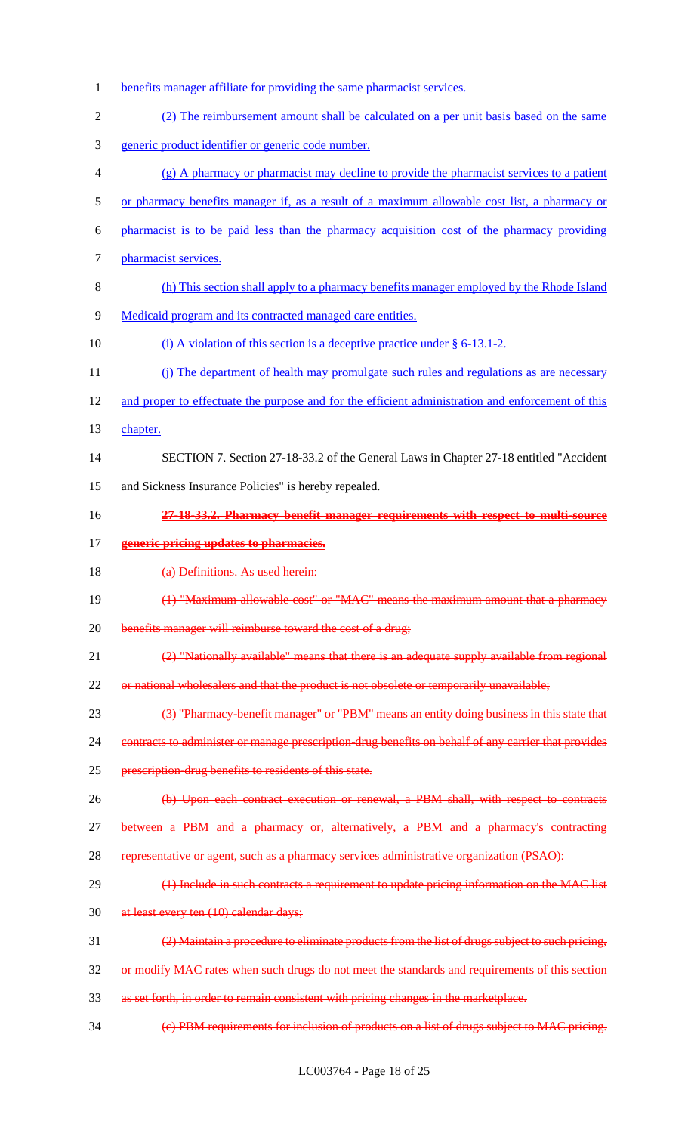- benefits manager affiliate for providing the same pharmacist services.
- (2) The reimbursement amount shall be calculated on a per unit basis based on the same
- generic product identifier or generic code number.
- (g) A pharmacy or pharmacist may decline to provide the pharmacist services to a patient
- or pharmacy benefits manager if, as a result of a maximum allowable cost list, a pharmacy or
- pharmacist is to be paid less than the pharmacy acquisition cost of the pharmacy providing
- pharmacist services.
- (h) This section shall apply to a pharmacy benefits manager employed by the Rhode Island
- Medicaid program and its contracted managed care entities.
- 10 (i) A violation of this section is a deceptive practice under § 6-13.1-2.
- 11 (j) The department of health may promulgate such rules and regulations as are necessary
- and proper to effectuate the purpose and for the efficient administration and enforcement of this
- chapter.

# SECTION 7. Section 27-18-33.2 of the General Laws in Chapter 27-18 entitled "Accident

- and Sickness Insurance Policies" is hereby repealed.
- **27-18-33.2. Pharmacy benefit manager requirements with respect to multi-source**
- **generic pricing updates to pharmacies.**
- (a) Definitions. As used herein:
- (1) "Maximum-allowable cost" or "MAC" means the maximum amount that a pharmacy
- 20 benefits manager will reimburse toward the cost of a drug;
- (2) "Nationally available" means that there is an adequate supply available from regional
- 22 or national wholesalers and that the product is not obsolete or temporarily unavailable;
- (3) "Pharmacy-benefit manager" or "PBM" means an entity doing business in this state that
- 24 contracts to administer or manage prescription-drug benefits on behalf of any carrier that provides
- 25 prescription-drug benefits to residents of this state.
- (b) Upon each contract execution or renewal, a PBM shall, with respect to contracts
- between a PBM and a pharmacy or, alternatively, a PBM and a pharmacy's contracting
- representative or agent, such as a pharmacy services administrative organization (PSAO):
- 29 (1) Include in such contracts a requirement to update pricing information on the MAC list
- 30 at least every ten (10) calendar days;
- (2) Maintain a procedure to eliminate products from the list of drugs subject to such pricing,
- or modify MAC rates when such drugs do not meet the standards and requirements of this section
- as set forth, in order to remain consistent with pricing changes in the marketplace.
- (c) PBM requirements for inclusion of products on a list of drugs subject to MAC pricing.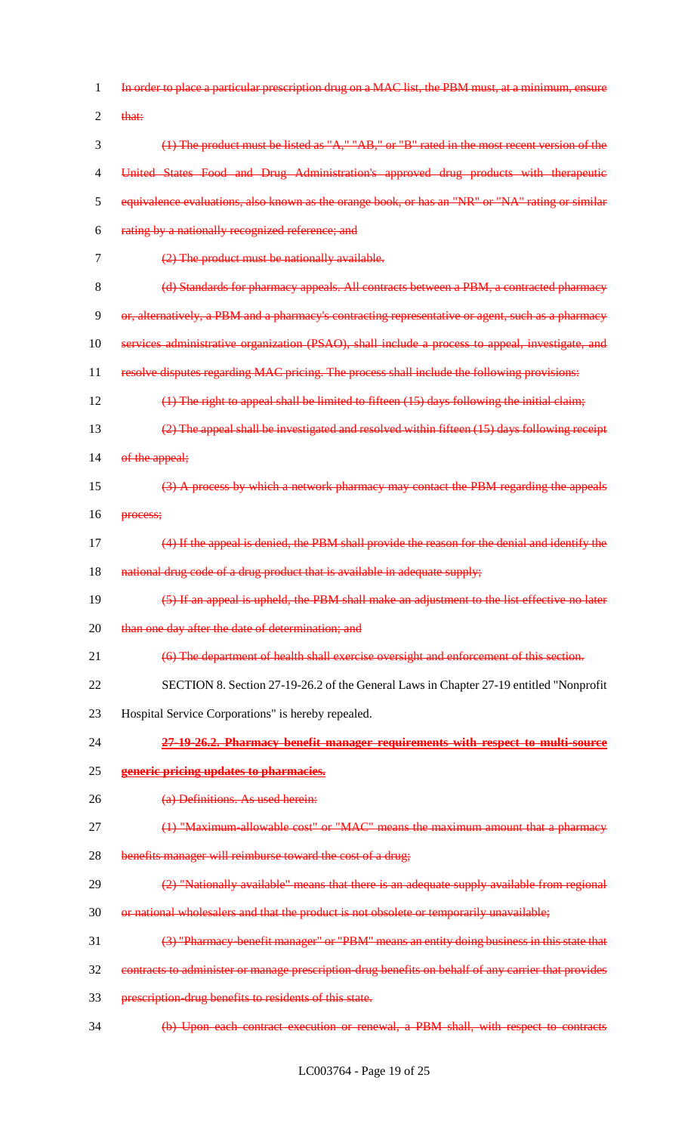| 1              | In order to place a particular prescription drug on a MAC list, the PBM must, at a minimum, ensure    |
|----------------|-------------------------------------------------------------------------------------------------------|
| $\overline{2}$ | that:                                                                                                 |
| 3              | $(1)$ The product must be listed as " $A$ ," " $AB$ ," or "B" rated in the most recent version of the |
| $\overline{4}$ | United States Food and Drug Administration's approved drug products with therapeutic                  |
| 5              | equivalence evaluations, also known as the orange book, or has an "NR" or "NA" rating or similar      |
| 6              | rating by a nationally recognized reference; and                                                      |
| $\overline{7}$ | (2) The product must be nationally available.                                                         |
| 8              | (d) Standards for pharmacy appeals. All contracts between a PBM, a contracted pharmacy                |
| 9              | or, alternatively, a PBM and a pharmacy's contracting representative or agent, such as a pharmacy     |
| 10             | services administrative organization (PSAO), shall include a process to appeal, investigate, and      |
| 11             | resolve disputes regarding MAC pricing. The process shall include the following provisions:           |
| 12             | $(1)$ The right to appeal shall be limited to fifteen $(15)$ days following the initial claim;        |
| 13             | (2) The appeal shall be investigated and resolved within fifteen (15) days following receipt          |
| 14             | of the appeal;                                                                                        |
| 15             | (3) A process by which a network pharmacy may contact the PBM regarding the appeals                   |
| 16             | process;                                                                                              |
| 17             | (4) If the appeal is denied, the PBM shall provide the reason for the denial and identify the         |
| 18             | national drug code of a drug product that is available in adequate supply;                            |
| 19             | (5) If an appeal is upheld, the PBM shall make an adjustment to the list effective no later           |
| 20             | than one day after the date of determination; and                                                     |
| 21             | (6) The department of health shall exercise oversight and enforcement of this section.                |
| 22             | SECTION 8. Section 27-19-26.2 of the General Laws in Chapter 27-19 entitled "Nonprofit"               |
| 23             | Hospital Service Corporations" is hereby repealed.                                                    |
| 24             | 27-19-26.2. Pharmacy benefit manager requirements with respect to multi-source                        |
| 25             | generic pricing updates to pharmacies.                                                                |
| 26             | (a) Definitions. As used herein:                                                                      |
| 27             | (1) "Maximum allowable cost" or "MAC" means the maximum amount that a pharmacy                        |
| 28             | benefits manager will reimburse toward the cost of a drug;                                            |
| 29             | (2) "Nationally available" means that there is an adequate supply available from regional             |
| 30             | or national wholesalers and that the product is not obsolete or temporarily unavailable;              |
| 31             | (3) "Pharmacy benefit manager" or "PBM" means an entity doing business in this state that             |
| 32             | contracts to administer or manage prescription-drug benefits on behalf of any carrier that provides   |
| 33             | prescription-drug benefits to residents of this state.                                                |
| 34             | (b) Upon each contract execution or renewal, a PBM shall, with respect to contracts                   |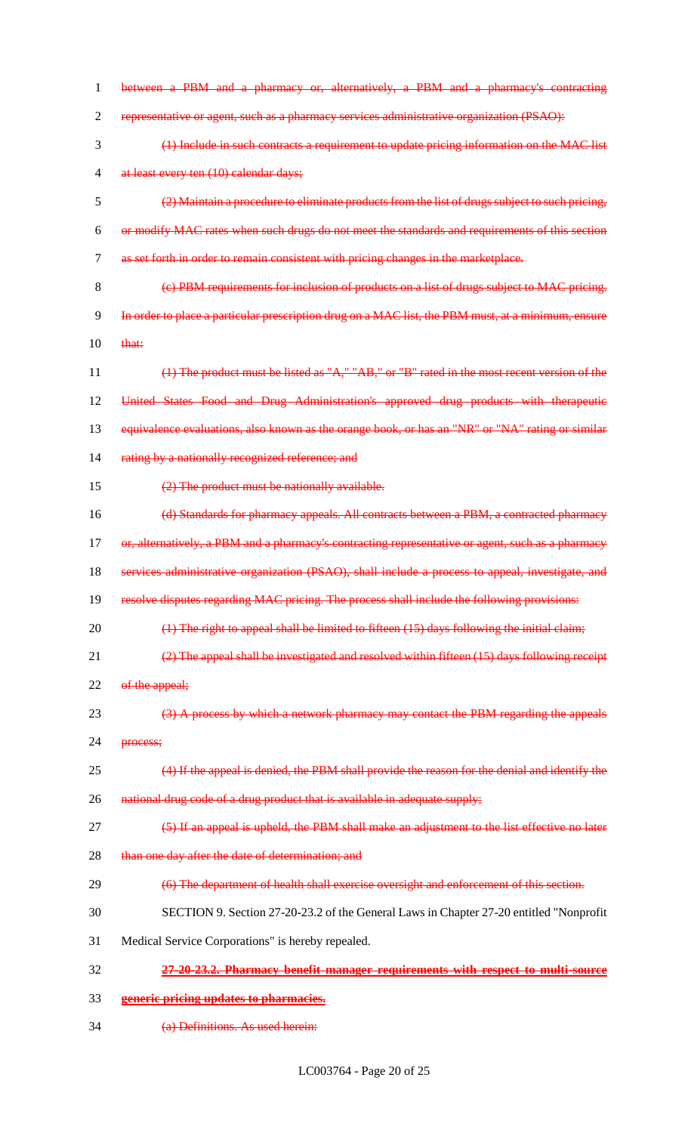| 1              | between a PBM and a pharmacy or, alternatively, a PBM and a pharmacy's contracting                    |
|----------------|-------------------------------------------------------------------------------------------------------|
| $\overline{2}$ | representative or agent, such as a pharmacy services administrative organization (PSAO):              |
| 3              | (1) Include in such contracts a requirement to update pricing information on the MAC list             |
| $\overline{4}$ | at least every ten (10) calendar days;                                                                |
| 5              | (2) Maintain a procedure to eliminate products from the list of drugs subject to such pricing,        |
| 6              | or modify MAC rates when such drugs do not meet the standards and requirements of this section        |
| 7              | as set forth in order to remain consistent with pricing changes in the marketplace.                   |
| 8              | (e) PBM requirements for inclusion of products on a list of drugs subject to MAC pricing.             |
| 9              | In order to place a particular prescription drug on a MAC list, the PBM must, at a minimum, ensure    |
| 10             | that:                                                                                                 |
| 11             | $(1)$ The product must be listed as " $A$ ," " $AB$ ," or "B" rated in the most recent version of the |
| 12             | United States Food and Drug Administration's approved drug products with therapeutic                  |
| 13             | equivalence evaluations, also known as the orange book, or has an "NR" or "NA" rating or similar      |
| 14             | rating by a nationally recognized reference; and                                                      |
| 15             | (2) The product must be nationally available.                                                         |
| 16             | (d) Standards for pharmacy appeals. All contracts between a PBM, a contracted pharmacy                |
| 17             | or, alternatively, a PBM and a pharmacy's contracting representative or agent, such as a pharmacy     |
| 18             | services administrative organization (PSAO), shall include a process to appeal, investigate, and      |
| 19             | resolve disputes regarding MAC pricing. The process shall include the following provisions:           |
| 20             | $(1)$ The right to appeal shall be limited to fifteen $(15)$ days following the initial claim;        |
| 21             | $(2)$ The appeal shall be investigated and resolved within fifteen $(15)$ days following receipt      |
| 22             | of the appeal;                                                                                        |
| 23             | (3) A process by which a network pharmacy may contact the PBM regarding the appeals                   |
| 24             | process;                                                                                              |
| 25             | (4) If the appeal is denied, the PBM shall provide the reason for the denial and identify the         |
| 26             | national drug code of a drug product that is available in adequate supply;                            |
| 27             | (5) If an appeal is upheld, the PBM shall make an adjustment to the list effective no later           |
| 28             | than one day after the date of determination; and                                                     |
| 29             | (6) The department of health shall exercise oversight and enforcement of this section.                |
| 30             | SECTION 9. Section 27-20-23.2 of the General Laws in Chapter 27-20 entitled "Nonprofit"               |
| 31             | Medical Service Corporations" is hereby repealed.                                                     |
| 32             | 27-20-23.2. Pharmacy benefit manager requirements with respect to multi-source                        |
| 33             | generic pricing updates to pharmacies.                                                                |

(a) Definitions. As used herein: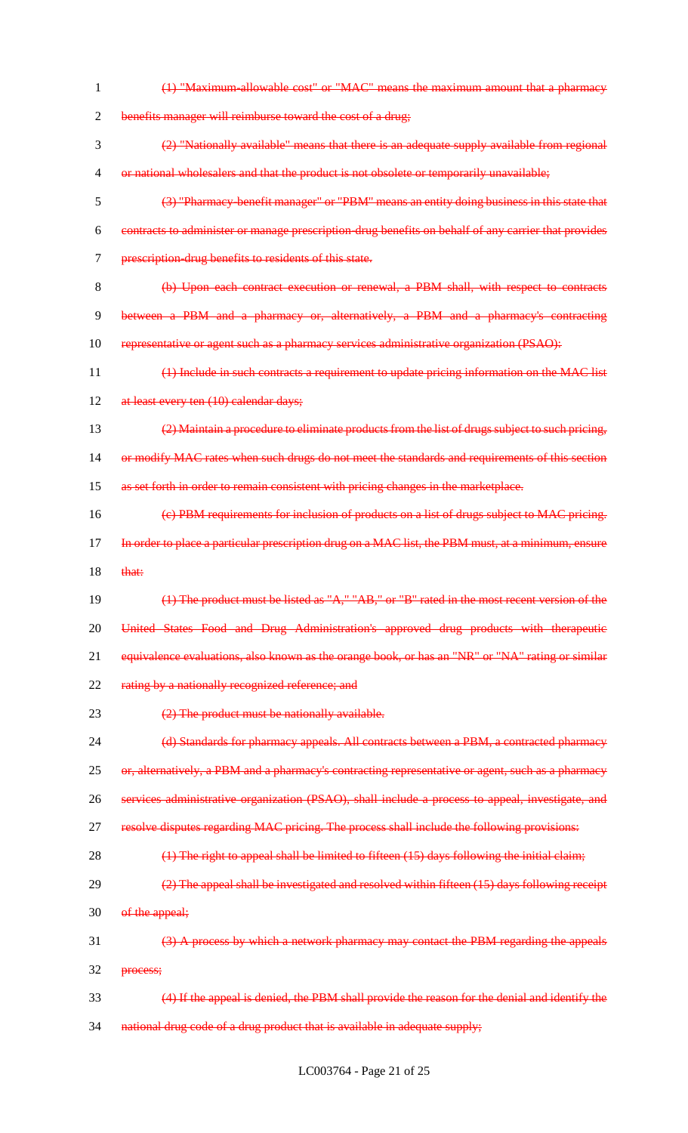(1) "Maximum-allowable cost" or "MAC" means the maximum amount that a pharmacy benefits manager will reimburse toward the cost of a drug; (2) "Nationally available" means that there is an adequate supply available from regional or national wholesalers and that the product is not obsolete or temporarily unavailable; (3) "Pharmacy-benefit manager" or "PBM" means an entity doing business in this state that contracts to administer or manage prescription-drug benefits on behalf of any carrier that provides prescription-drug benefits to residents of this state. (b) Upon each contract execution or renewal, a PBM shall, with respect to contracts between a PBM and a pharmacy or, alternatively, a PBM and a pharmacy's contracting 10 representative or agent such as a pharmacy services administrative organization (PSAO): (1) Include in such contracts a requirement to update pricing information on the MAC list 12 at least every ten (10) calendar days; (2) Maintain a procedure to eliminate products from the list of drugs subject to such pricing, or modify MAC rates when such drugs do not meet the standards and requirements of this section as set forth in order to remain consistent with pricing changes in the marketplace. (c) PBM requirements for inclusion of products on a list of drugs subject to MAC pricing. 17 In order to place a particular prescription drug on a MAC list, the PBM must, at a minimum, ensure that: (1) The product must be listed as "A," "AB," or "B" rated in the most recent version of the 20 United States Food and Drug Administration's approved drug products with therapeutic 21 equivalence evaluations, also known as the orange book, or has an "NR" or "NA" rating or similar 22 rating by a nationally recognized reference; and (2) The product must be nationally available. 24 (d) Standards for pharmacy appeals. All contracts between a PBM, a contracted pharmacy 25 or, alternatively, a PBM and a pharmacy's contracting representative or agent, such as a pharmacy services administrative organization (PSAO), shall include a process to appeal, investigate, and resolve disputes regarding MAC pricing. The process shall include the following provisions: 28 (1) The right to appeal shall be limited to fifteen (15) days following the initial claim; (2) The appeal shall be investigated and resolved within fifteen (15) days following receipt 30 of the appeal; (3) A process by which a network pharmacy may contact the PBM regarding the appeals process; (4) If the appeal is denied, the PBM shall provide the reason for the denial and identify the 34 national drug code of a drug product that is available in adequate supply;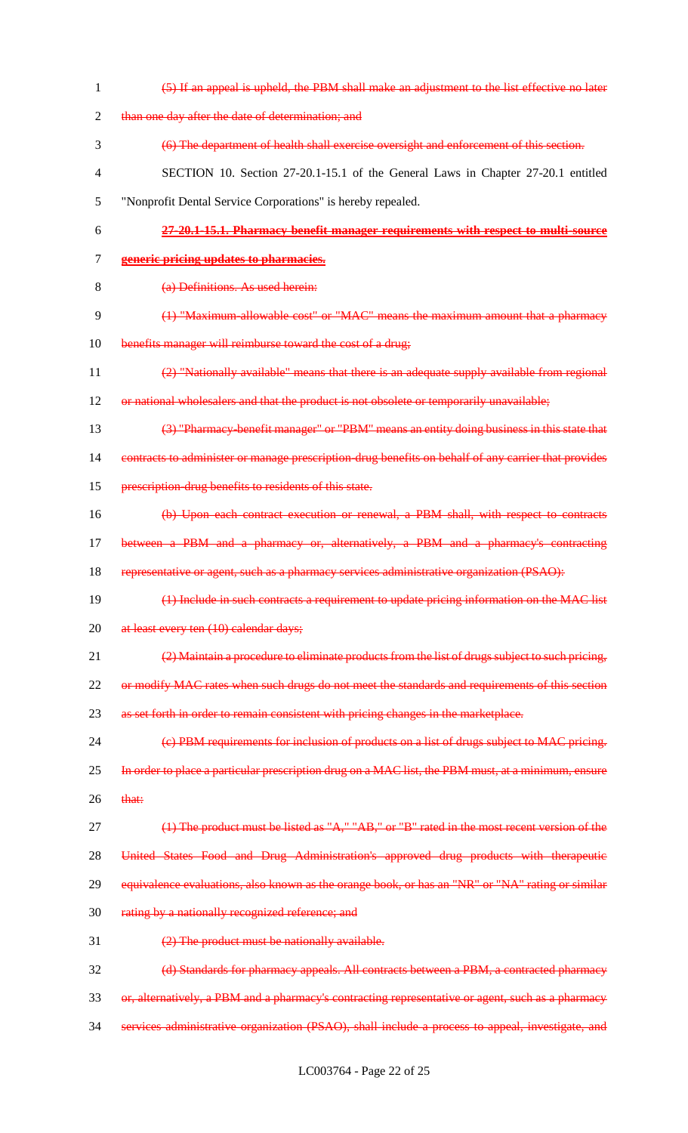| $\mathbf{1}$             | (5) If an appeal is upheld, the PBM shall make an adjustment to the list effective no later         |
|--------------------------|-----------------------------------------------------------------------------------------------------|
| 2                        | than one day after the date of determination; and                                                   |
| 3                        | (6) The department of health shall exercise oversight and enforcement of this section.              |
| $\overline{\mathcal{A}}$ | SECTION 10. Section 27-20.1-15.1 of the General Laws in Chapter 27-20.1 entitled                    |
| 5                        | "Nonprofit Dental Service Corporations" is hereby repealed.                                         |
| 6                        | 27-20.1-15.1. Pharmacy benefit manager requirements with respect to multi-source                    |
| 7                        | generic pricing updates to pharmacies.                                                              |
| $8\,$                    | (a) Definitions. As used herein:                                                                    |
| 9                        | (1) "Maximum-allowable cost" or "MAC" means the maximum amount that a pharmacy                      |
| 10                       | benefits manager will reimburse toward the cost of a drug;                                          |
| 11                       | (2) "Nationally available" means that there is an adequate supply available from regional           |
| 12                       | or national wholes allers and that the product is not obsolete or temporarily unavailable;          |
| 13                       | (3) "Pharmacy benefit manager" or "PBM" means an entity doing business in this state that           |
| 14                       | contracts to administer or manage prescription-drug benefits on behalf of any carrier that provides |
| 15                       | prescription drug benefits to residents of this state.                                              |
| 16                       | (b) Upon each contract execution or renewal, a PBM shall, with respect to contracts                 |
| 17                       | between a PBM and a pharmacy or, alternatively, a PBM and a pharmacy's contracting                  |
| 18                       | representative or agent, such as a pharmacy services administrative organization (PSAO):            |
| 19                       | (1) Include in such contracts a requirement to update pricing information on the MAC list           |
| 20                       | at least every ten (10) calendar days;                                                              |
| 21                       | (2) Maintain a procedure to eliminate products from the list of drugs subject to such pricing,      |
| 22                       | or modify MAC rates when such drugs do not meet the standards and requirements of this section      |
| 23                       | as set forth in order to remain consistent with pricing changes in the marketplace.                 |
| 24                       | (e) PBM requirements for inclusion of products on a list of drugs subject to MAC pricing.           |
| 25                       | In order to place a particular prescription drug on a MAC list, the PBM must, at a minimum, ensure  |
| 26                       | that:                                                                                               |
| 27                       | $(1)$ The product must be listed as "A," "AB," or "B" rated in the most recent version of the       |
| 28                       | United States Food and Drug Administration's approved drug products with therapeutic                |
| 29                       | equivalence evaluations, also known as the orange book, or has an "NR" or "NA" rating or similar    |
| 30                       | rating by a nationally recognized reference; and                                                    |
| 31                       | (2) The product must be nationally available.                                                       |
| 32                       | (d) Standards for pharmacy appeals. All contracts between a PBM, a contracted pharmacy              |
| 33                       | or, alternatively, a PBM and a pharmacy's contracting representative or agent, such as a pharmacy   |
| 34                       | services administrative organization (PSAO), shall include a process to appeal, investigate, and    |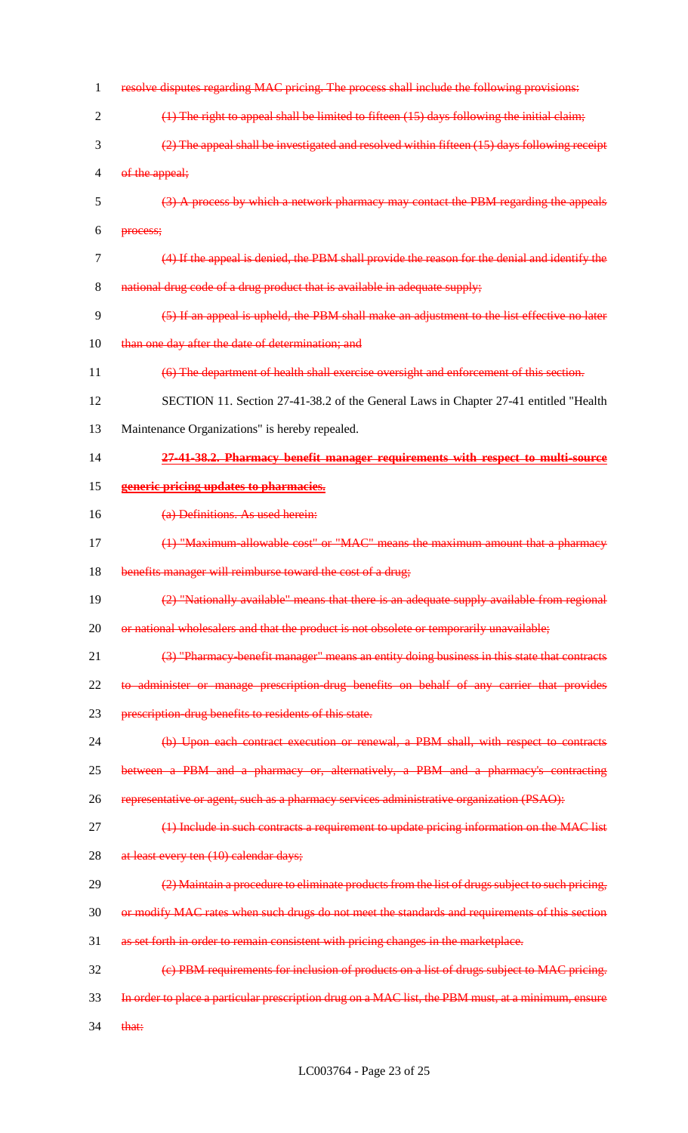| 1              | resolve disputes regarding MAC pricing. The process shall include the following provisions:        |
|----------------|----------------------------------------------------------------------------------------------------|
| $\overline{2}$ | $(1)$ The right to appeal shall be limited to fifteen $(15)$ days following the initial claim;     |
| 3              | (2) The appeal shall be investigated and resolved within fifteen (15) days following receipt       |
| $\overline{4}$ | of the appeal;                                                                                     |
| 5              | (3) A process by which a network pharmacy may contact the PBM regarding the appeals                |
| 6              | process;                                                                                           |
| 7              | (4) If the appeal is denied, the PBM shall provide the reason for the denial and identify the      |
| 8              | national drug code of a drug product that is available in adequate supply;                         |
| 9              | (5) If an appeal is upheld, the PBM shall make an adjustment to the list effective no later        |
| 10             | than one day after the date of determination; and                                                  |
| 11             | (6) The department of health shall exercise oversight and enforcement of this section.             |
| 12             | SECTION 11. Section 27-41-38.2 of the General Laws in Chapter 27-41 entitled "Health               |
| 13             | Maintenance Organizations" is hereby repealed.                                                     |
| 14             | 27-41-38.2. Pharmacy benefit manager requirements with respect to multi-source                     |
| 15             | generic pricing updates to pharmacies.                                                             |
| 16             | (a) Definitions. As used herein:                                                                   |
| 17             | (1) "Maximum allowable cost" or "MAC" means the maximum amount that a pharmacy                     |
| 18             | benefits manager will reimburse toward the cost of a drug;                                         |
| 19             | (2) "Nationally available" means that there is an adequate supply available from regional          |
| 20             | or national wholesalers and that the product is not obsolete or temporarily unavailable;           |
| 21             | (3) "Pharmacy benefit manager" means an entity doing business in this state that contracts         |
| 22             | to administer or manage prescription-drug benefits on behalf of any carrier that provides          |
| 23             | prescription-drug benefits to residents of this state.                                             |
| 24             | (b) Upon each contract execution or renewal, a PBM shall, with respect to contracts                |
| 25             | between a PBM and a pharmacy or, alternatively, a PBM and a pharmacy's contracting                 |
| 26             | representative or agent, such as a pharmacy services administrative organization (PSAO):           |
| 27             | (1) Include in such contracts a requirement to update pricing information on the MAC list          |
| 28             | at least every ten (10) calendar days;                                                             |
| 29             | (2) Maintain a procedure to eliminate products from the list of drugs subject to such pricing,     |
| 30             | or modify MAC rates when such drugs do not meet the standards and requirements of this section     |
| 31             | as set forth in order to remain consistent with pricing changes in the marketplace.                |
| 32             | (e) PBM requirements for inclusion of products on a list of drugs subject to MAC pricing.          |
| 33             | In order to place a particular prescription drug on a MAC list, the PBM must, at a minimum, ensure |
| 34             | that:                                                                                              |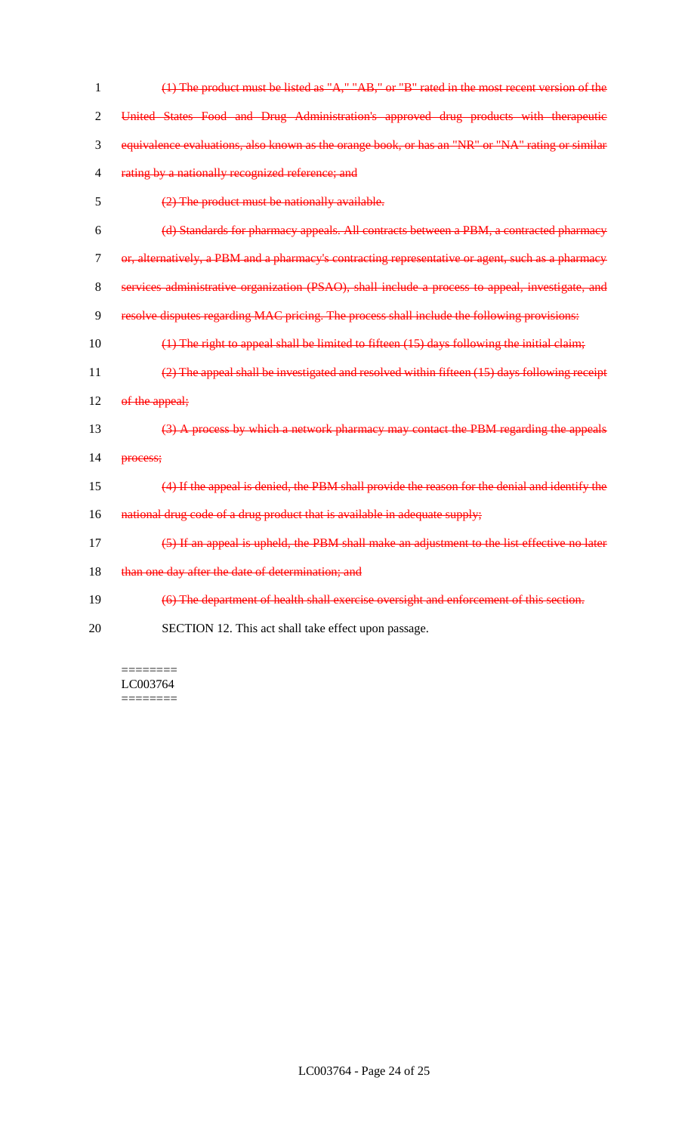| 1  | $(1)$ The product must be listed as " $A$ ," " $AB$ ," or "B" rated in the most recent version of the |
|----|-------------------------------------------------------------------------------------------------------|
| 2  | United States Food and Drug Administration's approved drug products with therapeutic                  |
| 3  | equivalence evaluations, also known as the orange book, or has an "NR" or "NA" rating or similar      |
| 4  | rating by a nationally recognized reference; and                                                      |
| 5  | (2) The product must be nationally available.                                                         |
| 6  | (d) Standards for pharmacy appeals. All contracts between a PBM, a contracted pharmacy                |
| 7  | or, alternatively, a PBM and a pharmacy's contracting representative or agent, such as a pharmacy     |
| 8  | services administrative organization (PSAO), shall include a process to appeal, investigate, and      |
| 9  | resolve disputes regarding MAC pricing. The process shall include the following provisions:           |
| 10 | $(1)$ The right to appeal shall be limited to fifteen $(15)$ days following the initial claim;        |
| 11 | (2) The appeal shall be investigated and resolved within fifteen (15) days following receipt          |
| 12 | of the appeal;                                                                                        |
| 13 | (3) A process by which a network pharmacy may contact the PBM regarding the appeals                   |
| 14 | process;                                                                                              |
| 15 | (4) If the appeal is denied, the PBM shall provide the reason for the denial and identify the         |
| 16 | national drug code of a drug product that is available in adequate supply;                            |
| 17 | (5) If an appeal is upheld, the PBM shall make an adjustment to the list effective no later           |
| 18 | than one day after the date of determination; and                                                     |
| 19 | (6) The department of health shall exercise oversight and enforcement of this section.                |
| 20 | SECTION 12. This act shall take effect upon passage.                                                  |
|    |                                                                                                       |

======== LC003764 ========